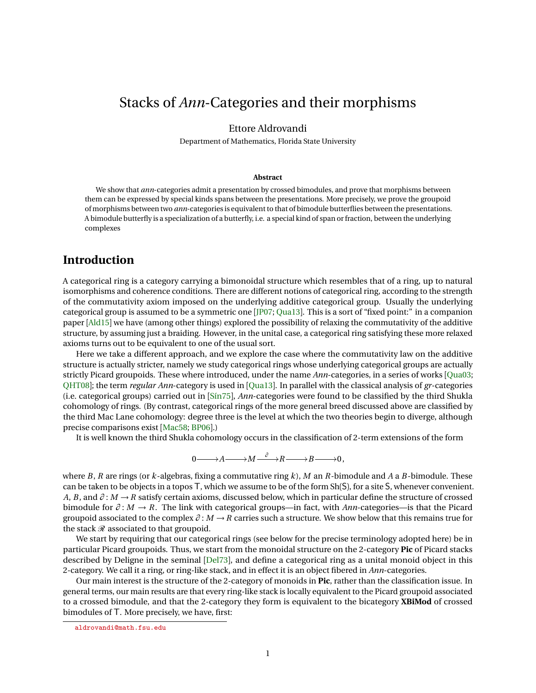# <span id="page-0-0"></span>Stacks of *Ann*-Categories and their morphisms

## Ettore Aldrovandi

Department of Mathematics, Florida State University

#### **Abstract**

We show that *ann*-categories admit a presentation by crossed bimodules, and prove that morphisms between them can be expressed by special kinds spans between the presentations. More precisely, we prove the groupoid of morphisms between two *ann*-categories is equivalent to that of bimodule butterflies between the presentations. A bimodule butterfly is a specialization of a butterfly, i.e. a special kind of span or fraction, between the underlying complexes

# **Introduction**

A categorical ring is a category carrying a bimonoidal structure which resembles that of a ring, up to natural isomorphisms and coherence conditions. There are different notions of categorical ring, according to the strength of the commutativity axiom imposed on the underlying additive categorical group. Usually the underlying categorical group is assumed to be a symmetric one [[JP07;](#page-21-0) [Qua13](#page-21-1)]. This is a sort of "fixed point:" in a companion paper [[Ald15](#page-20-0)] we have (among other things) explored the possibility of relaxing the commutativity of the additive structure, by assuming just a braiding. However, in the unital case, a categorical ring satisfying these more relaxed axioms turns out to be equivalent to one of the usual sort.

Here we take a different approach, and we explore the case where the commutativity law on the additive structure is actually stricter, namely we study categorical rings whose underlying categorical groups are actually strictly Picard groupoids. These where introduced, under the name *Ann*-categories, in a series of works [[Qua03;](#page-21-2) [QHT08](#page-22-0)]; the term *regular Ann*-category is used in [[Qua13](#page-21-1)]. In parallel with the classical analysis of *gr*-categories (i.e. categorical groups) carried out in [[Sín75](#page-22-1)], *Ann*-categories were found to be classified by the third Shukla cohomology of rings. (By contrast, categorical rings of the more general breed discussed above are classified by the third Mac Lane cohomology: degree three is the level at which the two theories begin to diverge, although precise comparisons exist [[Mac58;](#page-21-3) [BP06](#page-21-4)].)

It is well known the third Shukla cohomology occurs in the classification of 2-term extensions of the form

$$
0{\longrightarrow} A{\longrightarrow} M {\overset{\partial}{\longrightarrow}} R{\longrightarrow} B{\longrightarrow} 0\,,
$$

where *B*, *R* are rings (or *k*-algebras, fixing a commutative ring *k*), *M* an *R*-bimodule and *A* a *B*-bimodule. These can be taken to be objects in a topos T, which we assume to be of the form Sh(S), for a site S, whenever convenient. *A*, *B*, and *∂* : *M* → *R* satisfy certain axioms, discussed below, which in particular define the structure of crossed bimodule for *∂* : *M* → *R*. The link with categorical groups—in fact, with *Ann*-categories—is that the Picard groupoid associated to the complex *∂* : *M* → *R* carries such a structure. We show below that this remains true for the stack  $\mathcal R$  associated to that groupoid.

We start by requiring that our categorical rings (see below for the precise terminology adopted here) be in particular Picard groupoids. Thus, we start from the monoidal structure on the 2-category **Pic** of Picard stacks described by Deligne in the seminal [[Del73](#page-21-5)], and define a categorical ring as a unital monoid object in this 2-category. We call it a ring, or ring-like stack, and in effect it is an object fibered in *Ann*-categories.

Our main interest is the structure of the 2-category of monoids in **Pic**, rather than the classification issue. In general terms, our main results are that every ring-like stack is locally equivalent to the Picard groupoid associated to a crossed bimodule, and that the 2-category they form is equivalent to the bicategory **XBiMod** of crossed bimodules of T. More precisely, we have, first:

<aldrovandi@math.fsu.edu>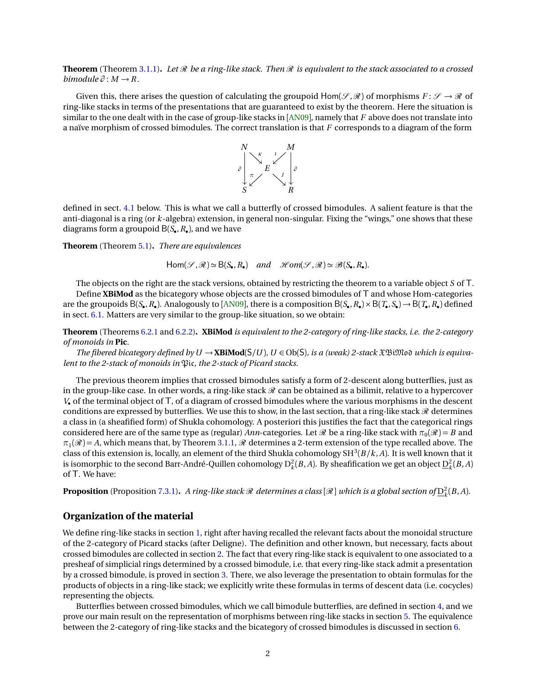<span id="page-1-0"></span>**Theorem** (Theorem [3.1.1\)](#page-7-0). Let  $\Re$  be a ring-like stack. Then  $\Re$  is equivalent to the stack associated to a crossed *bimodule*  $\partial : M \rightarrow R$ .

Given this, there arises the question of calculating the groupoid  $Hom(\mathcal{S},\mathcal{R})$  of morphisms  $F: \mathcal{S} \to \mathcal{R}$  of ring-like stacks in terms of the presentations that are guaranteed to exist by the theorem. Here the situation is similar to the one dealt with in the case of group-like stacks in [[AN09](#page-20-1)], namely that *F* above does not translate into a naïve morphism of crossed bimodules. The correct translation is that *F* corresponds to a diagram of the form



defined in sect. [4.1](#page-9-0) below. This is what we call a butterfly of crossed bimodules. A salient feature is that the anti-diagonal is a ring (or *k*-algebra) extension, in general non-singular. Fixing the "wings," one shows that these diagrams form a groupoid B(*S*• ,*R*• ), and we have

**Theorem** (Theorem [5.1\)](#page-13-0)**.** *There are equivalences*

$$
\mathsf{Hom}(\mathcal{S},\mathcal{R})\simeq \mathsf{B}(S_\bullet,R_\bullet) \quad and \quad \mathscr{H}om(\mathcal{S},\mathcal{R})\simeq \mathscr{B}(S_\bullet,R_\bullet).
$$

The objects on the right are the stack versions, obtained by restricting the theorem to a variable object *S* of T.

Define **XBiMod** as the bicategory whose objects are the crossed bimodules of T and whose Hom-categories are the groupoids  $B(S_{\bullet}, R_{\bullet})$ . Analogously to [[AN09](#page-20-1)], there is a composition  $B(S_{\bullet}, R_{\bullet}) \times B(T_{\bullet}, S_{\bullet}) \to B(T_{\bullet}, R_{\bullet})$  defined in sect. [6.1.](#page-15-0) Matters are very similar to the group-like situation, so we obtain:

**Theorem** (Theorems [6.2.1](#page-16-0) and [6.2.2\)](#page-16-1)**. XBiMod** *is equivalent to the 2-category of ring-like stacks, i.e. the 2-category of monoids in* **Pic***.*

*The fibered bicategory defined by*  $U \rightarrow \mathbf{XBiMod}(S/U)$ ,  $U \in Ob(S)$ *, is a (weak) 2-stack*  $\mathbf{\hat{x}}\mathbf{\hat{B}}$ *imoo which is equivalent to the 2-stack of monoids in* Pic*, the 2-stack of Picard stacks.*

The previous theorem implies that crossed bimodules satisfy a form of 2-descent along butterflies, just as in the group-like case. In other words, a ring-like stack  $\mathcal R$  can be obtained as a bilimit, relative to a hypercover *V*• of the terminal object of T, of a diagram of crossed bimodules where the various morphisms in the descent conditions are expressed by butterflies. We use this to show, in the last section, that a ring-like stack  $\mathcal R$  determines a class in (a sheafified form) of Shukla cohomology. A posteriori this justifies the fact that the categorical rings considered here are of the same type as (regular) *Ann*-categories. Let  $\Re$  be a ring-like stack with  $\pi_0(\Re) = B$  and  $\pi_1(\mathscr{R}) = A$ , which means that, by Theorem [3.1.1,](#page-7-0)  $\mathscr{R}$  determines a 2-term extension of the type recalled above. The class of this extension is, locally, an element of the third Shukla cohomology  $SH^3(B/k, A)$ . It is well known that it is isomorphic to the second Barr-André-Quillen cohomology  $D_k^2(B, A)$ . By sheafification we get an object  $D_k^2(B, A)$ of T. We have:

**Proposition** (Proposition [7.3.1\)](#page-19-0). A ring-like stack  $\mathcal R$  determines a class  $[\mathcal R]$  which is a global section of  $\underline{D}_k^2(B,A)$ .

### **Organization of the material**

We define ring-like stacks in section [1,](#page-2-0) right after having recalled the relevant facts about the monoidal structure of the 2-category of Picard stacks (after Deligne). The definition and other known, but necessary, facts about crossed bimodules are collected in section [2.](#page-3-0) The fact that every ring-like stack is equivalent to one associated to a presheaf of simplicial rings determined by a crossed bimodule, i.e. that every ring-like stack admit a presentation by a crossed bimodule, is proved in section [3.](#page-7-1) There, we also leverage the presentation to obtain formulas for the products of objects in a ring-like stack; we explicitly write these formulas in terms of descent data (i.e. cocycles) representing the objects.

Butterflies between crossed bimodules, which we call bimodule butterflies, are defined in section [4,](#page-9-1) and we prove our main result on the representation of morphisms between ring-like stacks in section [5.](#page-12-0) The equivalence between the 2-category of ring-like stacks and the bicategory of crossed bimodules is discussed in section [6.](#page-15-1)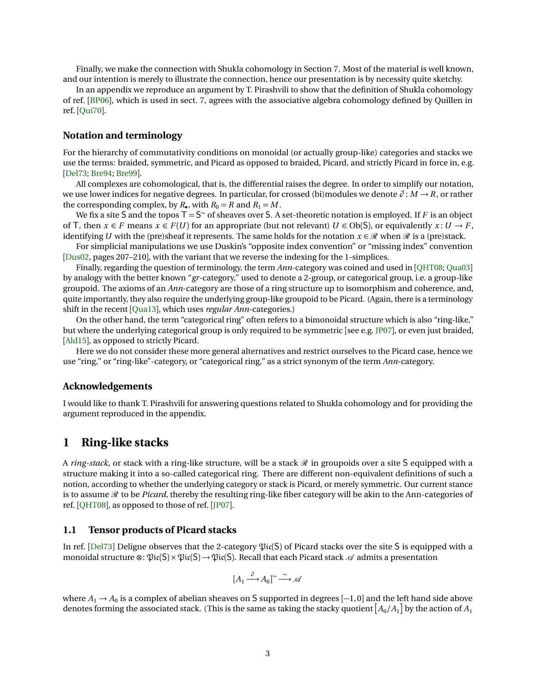<span id="page-2-1"></span>Finally, we make the connection with Shukla cohomology in Section [7.](#page-16-2) Most of the material is well known, and our intention is merely to illustrate the connection, hence our presentation is by necessity quite sketchy.

In an appendix we reproduce an argument by T. Pirashvili to show that the definition of Shukla cohomology of ref. [[BP06](#page-21-4)], which is used in sect. [7,](#page-16-2) agrees with the associative algebra cohomology defined by Quillen in ref. [[Qui70](#page-22-2)].

#### **Notation and terminology**

For the hierarchy of commutativity conditions on monoidal (or actually group-like) categories and stacks we use the terms: braided, symmetric, and Picard as opposed to braided, Picard, and strictly Picard in force in, e.g. [[Del73;](#page-21-5) [Bre94;](#page-21-6) [Bre99](#page-21-7)].

All complexes are cohomological, that is, the differential raises the degree. In order to simplify our notation, we use lower indices for negative degrees. In particular, for crossed (bi)modules we denote *∂* : *M* → *R*, or rather the corresponding complex, by  $R_{\bullet}$ , with  $R_0 = R$  and  $R_1 = M$ .

We fix a site S and the topos  $T = S^{\sim}$  of sheaves over S. A set-theoretic notation is employed. If F is an object of T, then  $x \in F$  means  $x \in F(U)$  for an appropriate (but not relevant)  $U \in Ob(S)$ , or equivalently  $x: U \to F$ , identifying *U* with the (pre)sheaf it represents. The same holds for the notation  $x \in \mathcal{R}$  when  $\mathcal{R}$  is a (pre)stack.

For simplicial manipulations we use Duskin's "opposite index convention" or "missing index" convention [[Dus02,](#page-21-8) pages 207–210], with the variant that we reverse the indexing for the 1-simplices.

Finally, regarding the question of terminology, the term *Ann*-category was coined and used in [[QHT08;](#page-22-0) [Qua03](#page-21-2)] by analogy with the better known "*gr*-category," used to denote a 2-group, or categorical group, i.e. a group-like groupoid. The axioms of an *Ann*-category are those of a ring structure up to isomorphism and coherence, and, quite importantly, they also require the underlying group-like groupoid to be Picard. (Again, there is a terminology shift in the recent [[Qua13](#page-21-1)], which uses *regular Ann*-categories.)

On the other hand, the term "categorical ring" often refers to a bimonoidal structure which is also "ring-like," but where the underlying categorical group is only required to be symmetric [see e.g. [JP07](#page-21-0)], or even just braided, [[Ald15](#page-20-0)], as opposed to strictly Picard.

Here we do not consider these more general alternatives and restrict ourselves to the Picard case, hence we use "ring," or "ring-like"-category, or "categorical ring," as a strict synonym of the term *Ann*-category.

#### **Acknowledgements**

I would like to thank T. Pirashvili for answering questions related to Shukla cohomology and for providing the argument reproduced in the appendix.

## <span id="page-2-0"></span>**1 Ring-like stacks**

A *ring-stack*, or stack with a ring-like structure, will be a stack  $\mathcal R$  in groupoids over a site S equipped with a structure making it into a so-called categorical ring. There are different non-equivalent definitions of such a notion, according to whether the underlying category or stack is Picard, or merely symmetric. Our current stance is to assume  $\mathcal R$  to be *Picard*, thereby the resulting ring-like fiber category will be akin to the Ann-categories of ref. [[QHT08](#page-22-0)], as opposed to those of ref. [[JP07](#page-21-0)].

#### **1.1 Tensor products of Picard stacks**

In ref. [[Del73](#page-21-5)] Deligne observes that the 2-category  $\mathfrak{Pic}(S)$  of Picard stacks over the site S is equipped with a monoidal structure ⊗:  $\mathfrak{Pic}(S) \times \mathfrak{Pic}(S) \to \mathfrak{Pic}(S)$ . Recall that each Picard stack  $\mathcal A$  admits a presentation

$$
[A_1 \xrightarrow{\partial} A_0] \sim \xrightarrow{\sim} \mathcal{A}
$$

where  $A_1 \to A_0$  is a complex of abelian sheaves on S supported in degrees  $[-1,0]$  and the left hand side above denotes forming the associated stack. (This is the same as taking the stacky quotient  $\left[A_0/A_1\right]$  by the action of  $A_1$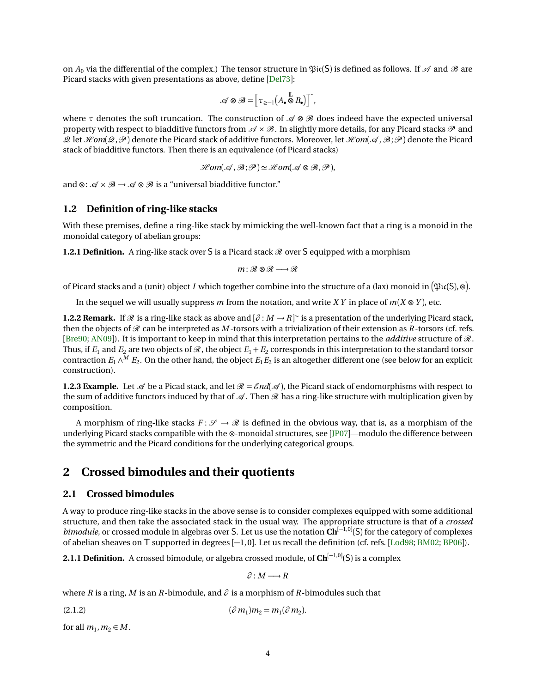<span id="page-3-2"></span>on  $A_0$  via the differential of the complex.) The tensor structure in  $\mathfrak{Pic}(S)$  is defined as follows. If  $\mathcal A$  and  $\mathcal B$  are Picard stacks with given presentations as above, define [[Del73](#page-21-5)]:

$$
\mathscr{A}\otimes\mathscr{B}=\Big[\,\tau_{\ge-1}\big(A_\bullet\overset{\mathbb{L}}{\otimes} B_\bullet\big)\Big]^{\!\!\sim},
$$

where  $\tau$  denotes the soft truncation. The construction of  $\mathscr A \otimes \mathscr B$  does indeed have the expected universal property with respect to biadditive functors from  $\mathscr{A} \times \mathscr{B}$ . In slightly more details, for any Picard stacks  $\mathscr{P}$  and Q let H*om*(Q,P ) denote the Picard stack of additive functors. Moreover, let H*om*(A ,B;P ) denote the Picard stack of biadditive functors. Then there is an equivalence (of Picard stacks)

$$
\mathcal{H}\textit{om}(\mathcal{A}, \mathcal{B}; \mathcal{P}) \simeq \mathcal{H}\textit{om}(\mathcal{A} \otimes \mathcal{B}, \mathcal{P}),
$$

and ⊗:  $\mathcal{A} \times \mathcal{B} \rightarrow \mathcal{A} \otimes \mathcal{B}$  is a "universal biadditive functor."

## **1.2 Definition of ring-like stacks**

With these premises, define a ring-like stack by mimicking the well-known fact that a ring is a monoid in the monoidal category of abelian groups:

**1.2.1 Definition.** A ring-like stack over S is a Picard stack  $\mathcal{R}$  over S equipped with a morphism

$$
m\colon\mathscr{R}\otimes\mathscr{R}\longrightarrow\mathscr{R}
$$

of Picard stacks and a (unit) object *I* which together combine into the structure of a (lax) monoid in  $(\frak{Pic}(S), \otimes)$ .

In the sequel we will usually suppress *m* from the notation, and write *XY* in place of  $m(X \otimes Y)$ , etc.

**1.2.2 Remark.** If  $\mathcal{R}$  is a ring-like stack as above and  $[\partial : M \to R]$ <sup>~</sup> is a presentation of the underlying Picard stack, then the objects of  $\mathcal R$  can be interpreted as *M* -torsors with a trivialization of their extension as *R*-torsors (cf. refs. [[Bre90;](#page-21-9) [AN09](#page-20-1)]). It is important to keep in mind that this interpretation pertains to the *additive* structure of R. Thus, if  $E_1$  and  $E_2$  are two objects of  $\mathcal{R}$ , the object  $E_1 + E_2$  corresponds in this interpretation to the standard torsor contraction  $E_1 \wedge^M E_2$ . On the other hand, the object  $E_1 E_2$  is an altogether different one (see below for an explicit construction).

**1.2.3 Example.** Let  $\mathcal{A}$  be a Picad stack, and let  $\mathcal{R} = \mathcal{E}nd(\mathcal{A})$ , the Picard stack of endomorphisms with respect to the sum of additive functors induced by that of  $\mathcal A$ . Then  $\mathcal R$  has a ring-like structure with multiplication given by composition.

A morphism of ring-like stacks  $F: \mathcal{S} \to \mathcal{R}$  is defined in the obvious way, that is, as a morphism of the underlying Picard stacks compatible with the ⊗-monoidal structures, see [[JP07](#page-21-0)]—modulo the difference between the symmetric and the Picard conditions for the underlying categorical groups.

# <span id="page-3-0"></span>**2 Crossed bimodules and their quotients**

#### **2.1 Crossed bimodules**

A way to produce ring-like stacks in the above sense is to consider complexes equipped with some additional structure, and then take the associated stack in the usual way. The appropriate structure is that of a *crossed bimodule*, or crossed module in algebras over S. Let us use the notation Ch<sup>[−1,0]</sup>(S) for the category of complexes of abelian sheaves on T supported in degrees [−1, 0]. Let us recall the definition (cf. refs. [[Lod98;](#page-21-10) [BM02;](#page-20-2) [BP06](#page-21-4)]).

**2.1.1 Definition.** A crossed bimodule, or algebra crossed module, of **Ch**<sup>[−1,0]</sup>(S) is a complex

<span id="page-3-1"></span> $\partial$  · *M* → *R* 

where *R* is a ring, *M* is an *R*-bimodule, and  $\partial$  is a morphism of *R*-bimodules such that

 $(2.1.2)$   $(\partial m_1)$  $)m_2 = m_1(\partial m_2).$ 

for all  $m_1, m_2 \in M$ .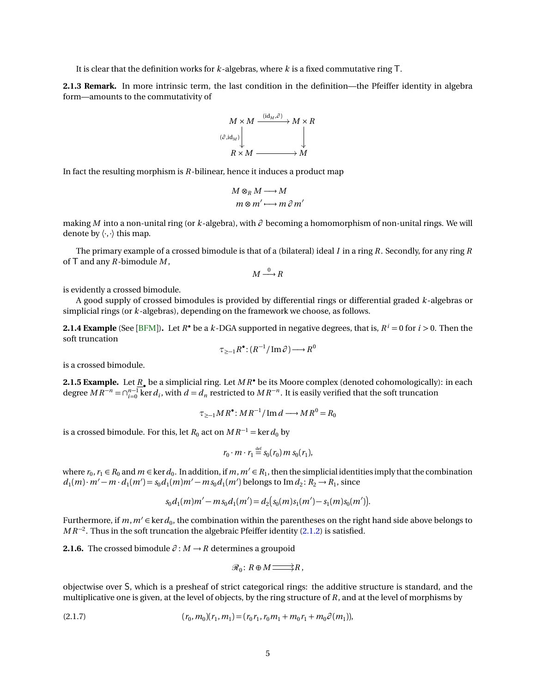<span id="page-4-3"></span>It is clear that the definition works for *k*-algebras, where *k* is a fixed commutative ring T.

<span id="page-4-2"></span>**2.1.3 Remark.** In more intrinsic term, the last condition in the definition—the Pfeiffer identity in algebra form—amounts to the commutativity of



In fact the resulting morphism is *R*-bilinear, hence it induces a product map

$$
M \otimes_R M \longrightarrow M
$$
  

$$
m \otimes m' \longrightarrow m \partial m'
$$

making *M* into a non-unital ring (or *k*-algebra), with *∂* becoming a homomorphism of non-unital rings. We will denote by  $\langle \cdot, \cdot \rangle$  this map.

The primary example of a crossed bimodule is that of a (bilateral) ideal *I* in a ring *R*. Secondly, for any ring *R* of T and any *R*-bimodule *M* ,

$$
M \stackrel{0}{\longrightarrow} R
$$

is evidently a crossed bimodule.

A good supply of crossed bimodules is provided by differential rings or differential graded *k*-algebras or simplicial rings (or *k*-algebras), depending on the framework we choose, as follows.

<span id="page-4-1"></span>**2.1.4 Example** (See [[BFM](#page-21-11)]). Let  $R^{\bullet}$  be a  $k$ -DGA supported in negative degrees, that is,  $R^i = 0$  for  $i > 0$ . Then the soft truncation

$$
\tau_{\geq -1} R^{\bullet} : (R^{-1}/\mathrm{Im}\,\partial) \longrightarrow R^{0}
$$

is a crossed bimodule.

**2.1.5 Example.** Let *R*• be a simplicial ring. Let *M R*• be its Moore complex (denoted cohomologically): in each degree  $MR^{-n} = \bigcap_{i=0}^{n-1}$  ker  $d_i$ , with  $d = d_n$  restricted to  $MR^{-n}$ . It is easily verified that the soft truncation

$$
\tau_{\geq -1} M R^{\bullet} : M R^{-1} / \operatorname{Im} d \longrightarrow M R^{0} = R_{0}
$$

is a crossed bimodule. For this, let  $R_0$  act on  $MR^{-1}$  = ker  $d_0$  by

$$
r_0 \cdot m \cdot r_1 \stackrel{\text{def}}{=} s_0(r_0) m s_0(r_1),
$$

where  $r_0, r_1 \in R_0$  and  $m \in \ker d_0$ . In addition, if  $m, m' \in R_1$ , then the simplicial identities imply that the combination  $d_1(m) \cdot m' - m \cdot d_1(m') = s_0 d_1(m) m' - ms_0 d_1(m')$  belongs to Im  $d_2$ : *R*<sub>2</sub> → *R*<sub>1</sub>, since

$$
s_0 d_1(m)m'-ms_0d_1(m')=d_2(s_0(m)s_1(m')-s_1(m)s_0(m')).
$$

Furthermore, if  $m$ ,  $m'$   $\in$  ker  $d_0$ , the combination within the parentheses on the right hand side above belongs to *MR*<sup>-2</sup>. Thus in the soft truncation the algebraic Pfeiffer identity [\(2.1.2\)](#page-3-1) is satisfied.

**2.1.6.** The crossed bimodule  $\partial : M \to R$  determines a groupoid

<span id="page-4-0"></span>
$$
\mathcal{R}_0\colon R\oplus M\mathop{\longrightarrow}\limits^{\textstyle\longrightarrow} R\,,
$$

objectwise over S, which is a presheaf of strict categorical rings: the additive structure is standard, and the multiplicative one is given, at the level of objects, by the ring structure of *R*, and at the level of morphisms by

$$
(r_0, m_0)(r_1, m_1) = (r_0 r_1, r_0 m_1 + m_0 r_1 + m_0 \partial (m_1)),
$$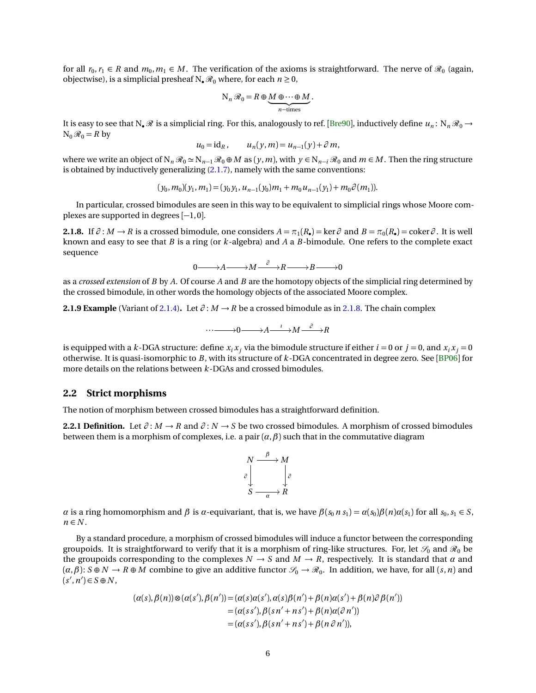<span id="page-5-4"></span>for all  $r_0, r_1 \in R$  and  $m_0, m_1 \in M$ . The verification of the axioms is straightforward. The nerve of  $\mathcal{R}_0$  (again, objectwise), is a simplicial presheaf  $N_{\bullet} \mathcal{R}_0$  where, for each  $n \ge 0$ ,

$$
N_n \mathcal{R}_0 = R \oplus \underbrace{M \oplus \cdots \oplus M}_{n-\text{times}}.
$$

It is easy to see that N<sub>•</sub>  $\Re$  is a simplicial ring. For this, analogously to ref. [[Bre90](#page-21-9)], inductively define  $u_n: N_n \Re$  →  $N_0 \mathcal{R}_0 = R$  by

$$
u_0 = id_R, \qquad u_n(y,m) = u_{n-1}(y) + \partial m,
$$

where we write an object of  $N_n \mathcal{R}_0 \simeq N_{n-1} \mathcal{R}_0 \oplus M$  as  $(y, m)$ , with  $y \in N_{n-i} \mathcal{R}_0$  and  $m \in M$ . Then the ring structure is obtained by inductively generalizing [\(2.1.7\)](#page-4-0), namely with the same conventions:

$$
(y_0, m_0)(y_1, m_1) = (y_0 y_1, u_{n-1}(y_0) m_1 + m_0 u_{n-1}(y_1) + m_0 \partial(m_1)).
$$

In particular, crossed bimodules are seen in this way to be equivalent to simplicial rings whose Moore complexes are supported in degrees [−1, 0].

<span id="page-5-0"></span>**2.1.8.** If  $\partial : M \to R$  is a crossed bimodule, one considers  $A = \pi_1(R_*) = \ker \partial$  and  $B = \pi_0(R_*) = \text{coker}\partial$ . It is well known and easy to see that *B* is a ring (or *k*-algebra) and *A* a *B*-bimodule. One refers to the complete exact sequence

$$
0 \longrightarrow A \longrightarrow M \xrightarrow{\partial} R \longrightarrow B \longrightarrow 0
$$

as a *crossed extension* of *B* by *A*. Of course *A* and *B* are the homotopy objects of the simplicial ring determined by the crossed bimodule, in other words the homology objects of the associated Moore complex.

<span id="page-5-3"></span>**2.1.9 Example** (Variant of [2.1.4\)](#page-4-1). Let  $\partial$  :  $M \rightarrow R$  be a crossed bimodule as in [2.1.8.](#page-5-0) The chain complex

$$
\cdots \longrightarrow 0 \longrightarrow A \xrightarrow{\iota} M \xrightarrow{\partial} R
$$

is equipped with a *k*-DGA structure: define  $x_i x_j$  via the bimodule structure if either  $i = 0$  or  $j = 0$ , and  $x_i x_j = 0$ otherwise. It is quasi-isomorphic to *B*, with its structure of *k*-DGA concentrated in degree zero. See [[BP06](#page-21-4)] for more details on the relations between *k*-DGAs and crossed bimodules.

#### <span id="page-5-2"></span>**2.2 Strict morphisms**

The notion of morphism between crossed bimodules has a straightforward definition.

<span id="page-5-1"></span>**2.2.1 Definition.** Let  $\partial : M \to R$  and  $\partial : N \to S$  be two crossed bimodules. A morphism of crossed bimodules between them is a morphism of complexes, i.e. a pair  $(\alpha, \beta)$  such that in the commutative diagram



*α* is a ring homomorphism and  $\beta$  is *α*-equivariant, that is, we have  $\beta(s_0 n s_1) = \alpha(s_0)\beta(n)\alpha(s_1)$  for all  $s_0, s_1 \in S$ ,  $n \in N$ .

By a standard procedure, a morphism of crossed bimodules will induce a functor between the corresponding groupoids. It is straightforward to verify that it is a morphism of ring-like structures. For, let  $\mathscr{S}_0$  and  $\mathscr{R}_0$  be the groupoids corresponding to the complexes  $N \to S$  and  $M \to R$ , respectively. It is standard that  $\alpha$  and  $(\alpha, \beta)$ :  $S \oplus N \to R \oplus M$  combine to give an additive functor  $\mathscr{S}_0 \to \mathscr{R}_0$ . In addition, we have, for all  $(s, n)$  and  $(s', n') \in S \oplus N$ ,

$$
(\alpha(s), \beta(n)) \otimes (\alpha(s'), \beta(n')) = (\alpha(s)\alpha(s'), \alpha(s)\beta(n') + \beta(n)\alpha(s') + \beta(n)\partial \beta(n'))
$$
  
= (\alpha(s s'), \beta(s n' + n s') + \beta(n)\alpha(\partial n'))  
= (\alpha(s s'), \beta(s n' + n s') + \beta(n \partial n')),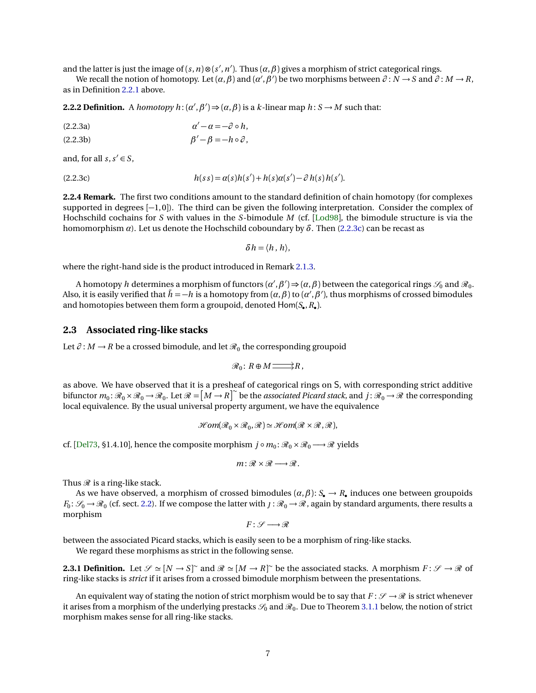<span id="page-6-2"></span>and the latter is just the image of  $(s, n) \otimes (s', n')$ . Thus  $(\alpha, \beta)$  gives a morphism of strict categorical rings.

We recall the notion of homotopy. Let  $(\alpha, \beta)$  and  $(\alpha', \beta')$  be two morphisms between  $\partial : N \to S$  and  $\partial : M \to R$ , as in Definition [2.2.1](#page-5-1) above.

**2.2.2 Definition.** A *homotopy*  $h: (\alpha', \beta') \Rightarrow (\alpha, \beta)$  is a *k*-linear map  $h: S \rightarrow M$  such that:

*α* <sup>0</sup> <sup>−</sup> *<sup>α</sup>* <sup>=</sup> <sup>−</sup>*<sup>∂</sup>* ◦*h*,(2.2.3a)

$$
\beta' - \beta = -h \circ \partial,
$$

and, for all  $s, s' \in S$ ,

<span id="page-6-0"></span>
$$
(2.2.3c) \qquad \qquad h(s s) = \alpha(s)h(s') + h(s)\alpha(s') - \partial h(s)h(s').
$$

**2.2.4 Remark.** The first two conditions amount to the standard definition of chain homotopy (for complexes supported in degrees [−1,0]). The third can be given the following interpretation. Consider the complex of Hochschild cochains for *S* with values in the *S*-bimodule *M* (cf. [[Lod98](#page-21-10)], the bimodule structure is via the homomorphism *α*). Let us denote the Hochschild coboundary by  $\delta$ . Then [\(2.2.3c\)](#page-6-0) can be recast as

<span id="page-6-1"></span> $\delta h = \langle h, h \rangle$ ,

where the right-hand side is the product introduced in Remark [2.1.3.](#page-4-2)

A homotopy  $h$  determines a morphism of functors  $(\alpha',\beta')$   $\Rightarrow$   $(\alpha,\beta)$  between the categorical rings  $\mathscr{S}_0$  and  $\mathscr{R}_0$ . Also, it is easily verified that  $\tilde{h} = -h$  is a homotopy from  $(a, \beta)$  to  $(a', \beta')$ , thus morphisms of crossed bimodules and homotopies between them form a groupoid, denoted Hom(*S*• ,*R*• ).

#### **2.3 Associated ring-like stacks**

Let  $\partial$  : *M* → *R* be a crossed bimodule, and let  $\mathcal{R}_0$  the corresponding groupoid

$$
\mathscr{R}_0\colon R\oplus M\mathop{\longrightarrow}\limits^{\scriptstyle\longrightarrow} R\,,
$$

as above. We have observed that it is a presheaf of categorical rings on S, with corresponding strict additive bifunctor  $m_0: \mathcal{R}_0 \times \mathcal{R}_0 \to \mathcal{R}_0$ . Let  $\mathcal{R} = [M \to R]^{\sim}$  be the *associated Picard stack*, and  $j: \mathcal{R}_0 \to \mathcal{R}$  the corresponding local equivalence. By the usual universal property argument, we have the equivalence

$$
\mathcal{H}om(\mathcal{R}_0\times\mathcal{R}_0,\mathcal{R})\simeq \mathcal{H}om(\mathcal{R}\times\mathcal{R},\mathcal{R}),
$$

cf. [[Del73,](#page-21-5) §1.4.10], hence the composite morphism  $j \circ m_0: \mathcal{R}_0 \times \mathcal{R}_0 \longrightarrow \mathcal{R}$  yields

$$
m: \mathcal{R} \times \mathcal{R} \longrightarrow \mathcal{R}.
$$

Thus  $\mathcal R$  is a ring-like stack.

As we have observed, a morphism of crossed bimodules (*α*,*β*): *S*• → *R*• induces one between groupoids  $F_0: \mathscr{S}_0 \to \mathscr{R}_0$  (cf. sect. [2.2\)](#page-5-2). If we compose the latter with  $J: \mathscr{R}_0 \to \mathscr{R}$ , again by standard arguments, there results a morphism

$$
F\colon \mathscr{S}\longrightarrow \mathscr{R}
$$

between the associated Picard stacks, which is easily seen to be a morphism of ring-like stacks.

We regard these morphisms as strict in the following sense.

**2.3.1 Definition.** Let  $\mathscr{S} \simeq [N \to S]^{\sim}$  and  $\mathscr{R} \simeq [M \to R]^{\sim}$  be the associated stacks. A morphism  $F : \mathscr{S} \to \mathscr{R}$  of ring-like stacks is *strict* if it arises from a crossed bimodule morphism between the presentations.

An equivalent way of stating the notion of strict morphism would be to say that  $F: \mathcal{S} \to \mathcal{R}$  is strict whenever it arises from a morphism of the underlying prestacks  $\mathscr{S}_0$  and  $\mathscr{R}_0$ . Due to Theorem [3.1.1](#page-7-0) below, the notion of strict morphism makes sense for all ring-like stacks.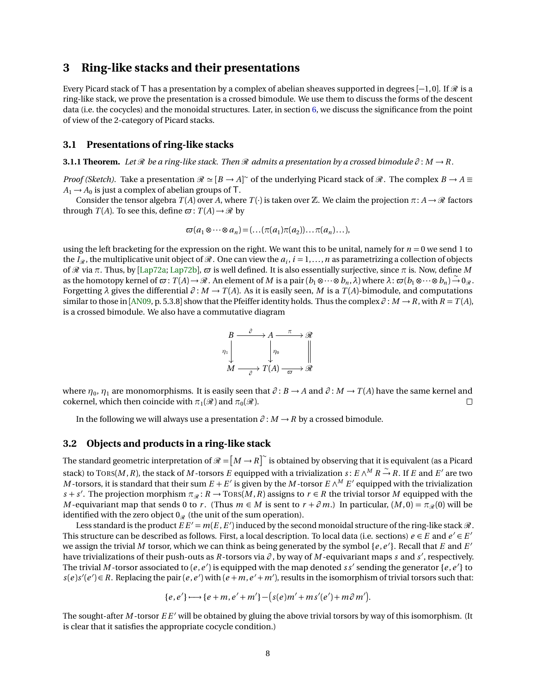# <span id="page-7-3"></span><span id="page-7-1"></span>**3 Ring-like stacks and their presentations**

Every Picard stack of T has a presentation by a complex of abelian sheaves supported in degrees [-1,0]. If  $\mathcal{R}$  is a ring-like stack, we prove the presentation is a crossed bimodule. We use them to discuss the forms of the descent data (i.e. the cocycles) and the monoidal structures. Later, in section [6,](#page-15-1) we discuss the significance from the point of view of the 2-category of Picard stacks.

#### **3.1 Presentations of ring-like stacks**

<span id="page-7-0"></span>**3.1.1 Theorem.** Let  $\mathcal{R}$  be a ring-like stack. Then  $\mathcal{R}$  admits a presentation by a crossed bimodule  $\partial : M \to R$ .

*Proof (Sketch).* Take a presentation  $\Re \simeq [B \to A]^{\sim}$  of the underlying Picard stack of  $\Re$ . The complex  $B \to A \equiv$  $A_1 \rightarrow A_0$  is just a complex of abelian groups of T.

Consider the tensor algebra  $T(A)$  over A, where  $T(\cdot)$  is taken over  $\mathbb Z$ . We claim the projection  $\pi: A \to \mathcal R$  factors through *T*(*A*). To see this, define  $\varpi$ : *T*(*A*)  $\rightarrow \mathcal{R}$  by

$$
\varpi(a_1\otimes\cdots\otimes a_n)=(\ldots(\pi(a_1)\pi(a_2))\ldots\pi(a_n)\ldots),
$$

using the left bracketing for the expression on the right. We want this to be unital, namely for  $n = 0$  we send 1 to the  $I_{\mathcal{R}}$ , the multiplicative unit object of  $\mathcal{R}$  . One can view the  $a_i$ ,  $i=1,\ldots,n$  as parametrizing a collection of objects of R via *π*. Thus, by [[Lap72a;](#page-21-12) [Lap72b](#page-21-13)], *\$* is well defined. It is also essentially surjective, since *π* is. Now, define *M* as the homotopy kernel of  $\varpi$ :  $T(A) \to \mathcal{R}$ . An element of *M* is a pair  $(b_1 \otimes \cdots \otimes b_n, \lambda)$  where  $\lambda$ :  $\varpi(b_1 \otimes \cdots \otimes b_n) \stackrel{\sim}{\to} 0_{\mathcal{R}}$ . Forgetting  $\lambda$  gives the differential  $\partial : M \to T(A)$ . As it is easily seen, M is a  $T(A)$ -bimodule, and computations similar to those in [[AN09,](#page-20-1) p. 5.3.8] show that the Pfeiffer identity holds. Thus the complex  $\partial : M \to R$ , with  $R = T(A)$ , is a crossed bimodule. We also have a commutative diagram



where  $\eta_0$ ,  $\eta_1$  are monomorphisms. It is easily seen that  $\partial: B \to A$  and  $\partial: M \to T(A)$  have the same kernel and cokernel, which then coincide with  $\pi_1(\mathcal{R})$  and  $\pi_0(\mathcal{R})$ .  $\Box$ 

In the following we will always use a presentation *∂* : *M* → *R* by a crossed bimodule.

#### <span id="page-7-2"></span>**3.2 Objects and products in a ring-like stack**

The standard geometric interpretation of  $\mathscr{R} = \bigl[M \to R \bigr]^\sim$  is obtained by observing that it is equivalent (as a Picard stack) to Tors(*M*, *R*), the stack of *M* -torsors *E* equipped with a trivialization *s* :  $E \wedge^M R \to R$ . If *E* and *E'* are two *M* -torsors, it is standard that their sum  $E + E'$  is given by the *M* -torsor  $E \wedge^M E'$  equipped with the trivialization  $s + s'$ . The projection morphism  $\pi_{\mathcal{R}} : R \to \text{TORS}(M, R)$  assigns to  $r \in R$  the trivial torsor *M* equipped with the *M* -equivariant map that sends 0 to *r*. (Thus  $m \in M$  is sent to  $r + \partial m$ .) In particular,  $(M, 0) = \pi_{\mathcal{R}}(0)$  will be identified with the zero object  $0_{\mathcal{R}}$  (the unit of the sum operation).

Less standard is the product  $EE' = m(E, E')$  induced by the second monoidal structure of the ring-like stack  $\mathscr R$ . This structure can be described as follows. First, a local description. To local data (i.e. sections)  $e \in E$  and  $e' \in E'$ we assign the trivial M torsor, which we can think as being generated by the symbol  $\{e, e'\}$ . Recall that *E* and *E'* have trivializations of their push-outs as *R*-torsors via *∂* , by way of *M* -equivariant maps *s* and *s* 0 , respectively. The trivial M-torsor associated to  $(e, e')$  is equipped with the map denoted  $ss'$  sending the generator  $\{e, e'\}$  to  $s(e)s'(e') \in R$ . Replacing the pair  $(e, e')$  with  $(e + m, e' + m')$ , results in the isomorphism of trivial torsors such that:

$$
\{e,e'\}\longrightarrow\{e+m,e'+m'\}-\big(s(e)m'+ms'(e')+m\partial m'\big).
$$

The sought-after  $M$ -torsor  $EE'$  will be obtained by gluing the above trivial torsors by way of this isomorphism. (It is clear that it satisfies the appropriate cocycle condition.)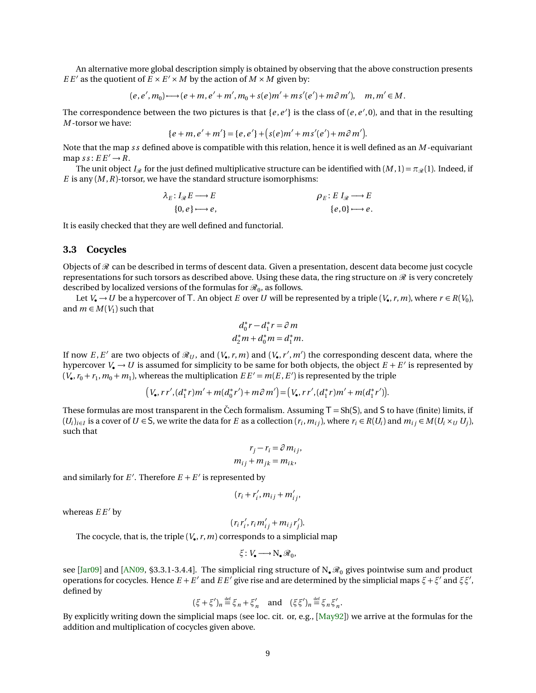<span id="page-8-0"></span>An alternative more global description simply is obtained by observing that the above construction presents *E E'* as the quotient of  $E \times E' \times M$  by the action of  $M \times M$  given by:

 $(e, e', m_0) \longrightarrow (e + m, e' + m', m_0 + s(e)m' + ms'(e') + m \partial m'), \quad m, m' \in M.$ 

The correspondence between the two pictures is that  $\{e,e'\}$  is the class of  $(e,e',0)$ , and that in the resulting *M* -torsor we have:

$$
\{e+m,e'+m'\}=\{e,e'\}+\big(s(e)m'+ms'(e')+m\partial m'\big).
$$

Note that the map *s s* defined above is compatible with this relation, hence it is well defined as an *M* -equivariant map  $ss: EE' \rightarrow R$ .

The unit object *I*<sub>R</sub> for the just defined multiplicative structure can be identified with  $(M, 1) = \pi_{\mathcal{R}}(1)$ . Indeed, if *E* is any  $(M, R)$ -torsor, we have the standard structure isomorphisms:

$$
\lambda_E: I_{\mathcal{R}} E \longrightarrow E
$$
  
\n
$$
\{0, e\} \longrightarrow e,
$$
  
\n
$$
\rho_E: E I_{\mathcal{R}} \longrightarrow E
$$
  
\n
$$
\{e, 0\} \longrightarrow e.
$$

It is easily checked that they are well defined and functorial.

## **3.3 Cocycles**

Objects of  $\mathcal R$  can be described in terms of descent data. Given a presentation, descent data become just cocycle representations for such torsors as described above. Using these data, the ring structure on  $\Re$  is very concretely described by localized versions of the formulas for  $\mathcal{R}_0$ , as follows.

Let  $V_{\bullet} \to U$  be a hypercover of T. An object *E* over *U* will be represented by a triple  $(V_{\bullet}, r, m)$ , where  $r \in R(V_0)$ , and  $m \in M(V_1)$  such that

$$
d_0^*r - d_1^*r = \partial m
$$
  

$$
d_2^*m + d_0^*m = d_1^*m.
$$

If now  $E, E'$  are two objects of  $\mathcal{R}_U$ , and  $(V_\bullet, r, m)$  and  $(V_\bullet, r', m')$  the corresponding descent data, where the hypercover  $V_{\bullet} \to U$  is assumed for simplicity to be same for both objects, the object  $E + E'$  is represented by  $(V_{\bullet}, r_0 + r_1, m_0 + m_1)$ , whereas the multiplication  $EE' = m(E, E')$  is represented by the triple

$$
(V_{\bullet},rr',(d_{1}^{*}r)m'+m(d_{0}^{*}r')+m\partial m')\!=\!(V_{\bullet},rr',(d_{1}^{*}r)m'+m(d_{1}^{*}r')).
$$

These formulas are most transparent in the Čech formalism. Assuming  $T = Sh(S)$ , and S to have (finite) limits, if  $(U_i)_{i\in I}$  is a cover of  $U \in S$ , we write the data for E as a collection  $(r_i, m_{ij})$ , where  $r_i \in R(U_i)$  and  $m_{ij} \in M(U_i \times_U U_j)$ , such that

$$
r_j - r_i = \partial m_{ij},
$$
  

$$
m_{ij} + m_{jk} = m_{ik},
$$

and similarly for  $E'$ . Therefore  $E + E'$  is represented by

 $(r_i + r'_i)$  $m'_{i}$ ,  $m_{ij}$  +  $m'_{ij}$ ,

whereas  $EE'$  by

$$
(r_i r'_i, r_i m'_{ij} + m_{ij} r'_j).
$$

The cocycle, that is, the triple  $(V_{\bullet}, r, m)$  corresponds to a simplicial map

$$
\xi\colon V_\bullet {\longrightarrow} \mathbf{N}_\bullet \mathscr{R}_0,
$$

see [[Jar09](#page-21-14)] and [[AN09,](#page-20-1) §3.3.1-3.4.4]. The simplicial ring structure of  $N_{\bullet} \mathcal{R}_0$  gives pointwise sum and product operations for cocycles. Hence  $E + E'$  and  $E E'$  give rise and are determined by the simplicial maps  $\xi + \xi'$  and  $\xi \xi'$ , defined by

$$
(\xi + \xi')_n \stackrel{\text{def}}{=} \xi_n + \xi'_n \quad \text{and} \quad (\xi \xi')_n \stackrel{\text{def}}{=} \xi_n \xi'_n.
$$

By explicitly writing down the simplicial maps (see loc. cit. or, e.g., [[May92](#page-21-15)]) we arrive at the formulas for the addition and multiplication of cocycles given above.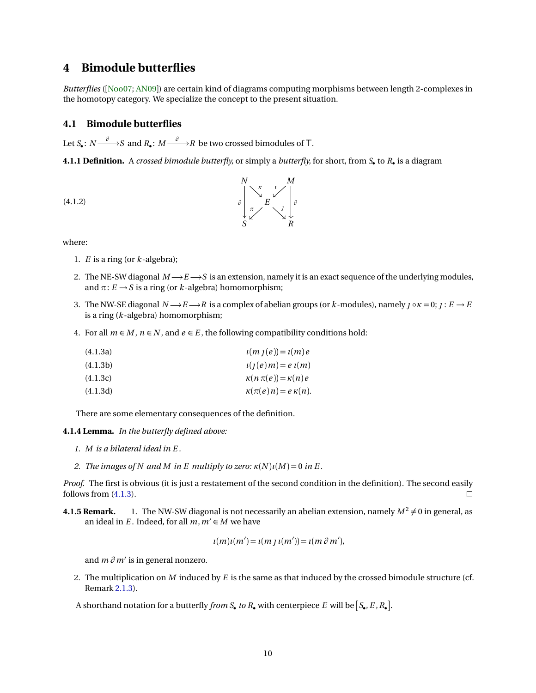# <span id="page-9-5"></span><span id="page-9-1"></span>**4 Bimodule butterflies**

*Butterflies* ([[Noo07;](#page-21-16) [AN09](#page-20-1)]) are certain kind of diagrams computing morphisms between length 2-complexes in the homotopy category. We specialize the concept to the present situation.

## <span id="page-9-0"></span>**4.1 Bimodule butterflies**

Let  $S_{\bullet} \colon N {\stackrel{\partial}{\longrightarrow}} S$  and  $R_{\bullet} \colon M {\stackrel{\partial}{\longrightarrow}} R$  be two crossed bimodules of T.

<span id="page-9-4"></span>**4.1.1 Definition.** A *crossed bimodule butterfly,* or simply a *butterfly,* for short, from *S*• to *R*• is a diagram



<span id="page-9-3"></span><span id="page-9-2"></span>

where:

- 1. *E* is a ring (or *k*-algebra);
- 2. The NE-SW diagonal  $M\rightarrow E\rightarrow S$  is an extension, namely it is an exact sequence of the underlying modules, and  $\pi: E \to S$  is a ring (or *k*-algebra) homomorphism;
- 3. The NW-SE diagonal  $N \rightarrow E \rightarrow R$  is a complex of abelian groups (or *k*-modules), namely  $j \circ \kappa = 0$ ;  $j : E \rightarrow E$ is a ring (*k*-algebra) homomorphism;
- 4. For all  $m \in M$ ,  $n \in N$ , and  $e \in E$ , the following compatibility conditions hold:

| (4.1.3a) | $\iota(m_l(e)) = \iota(m)e$      |
|----------|----------------------------------|
| (4.1.3b) | $i(j(e)m) = e i(m)$              |
| (4.1.3c) | $\kappa(n \pi(e)) = \kappa(n) e$ |
| (4.1.3d) | $\kappa(\pi(e)n) = e \kappa(n).$ |

There are some elementary consequences of the definition.

**4.1.4 Lemma.** *In the butterfly defined above:*

- *1. M is a bilateral ideal in E .*
- *2. The images of N and M in E multiply to zero:*  $\kappa(N)\iota(M) = 0$  *in E.*

*Proof.* The first is obvious (it is just a restatement of the second condition in the definition). The second easily follows from [\(4.1.3\)](#page-9-2).  $\Box$ 

**4.1.5 Remark.** 1. The NW-SW diagonal is not necessarily an abelian extension, namely  $M^2 \neq 0$  in general, as an ideal in *E*. Indeed, for all  $m, m' \in M$  we have

$$
u(m)u(m') = u(m j u(m')) = u(m \partial m'),
$$

and *m ∂ m'* is in general nonzero.

2. The multiplication on *M* induced by *E* is the same as that induced by the crossed bimodule structure (cf. Remark [2.1.3\)](#page-4-2).

A shorthand notation for a butterfly *from S*• *to R*• with centerpiece *E* will be  $[S_\bullet, E, R_\bullet]$ .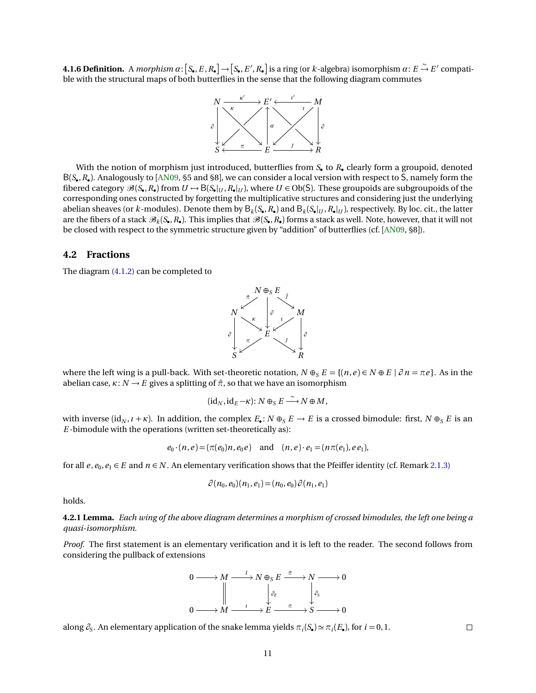<span id="page-10-0"></span>**4.1.6 Definition.** A morphism  $\alpha$ :  $[S_\bullet, E, R_\bullet] \to [S_\bullet, E', R_\bullet]$  is a ring (or *k*-algebra) isomorphism  $\alpha$ :  $E \stackrel{\sim}{\to} E'$  compatible with the structural maps of both butterflies in the sense that the following diagram commutes



With the notion of morphism just introduced, butterflies from *S*• to *R*• clearly form a groupoid, denoted B(*S*• ,*R*• ). Analogously to [[AN09,](#page-20-1) §5 and §8], we can consider a local version with respect to S, namely form the fibered category  $\mathscr{B}(S_\bullet, R_\bullet)$  from  $U \mapsto B(S_\bullet|_U, R_\bullet|_U)$ , where  $U \in Ob(S)$ . These groupoids are subgroupoids of the corresponding ones constructed by forgetting the multiplicative structures and considering just the underlying abelian sheaves (or *k*-modules). Denote them by  $B_k(S_\bullet,R_\bullet)$  and  $B_k(S_\bullet|_U,R_\bullet|_U)$ , respectively. By loc. cit., the latter are the fibers of a stack  $\mathscr{B}_k(S_*,R_*)$ . This implies that  $\mathscr{B}(S_*,R_*)$  forms a stack as well. Note, however, that it will not be closed with respect to the symmetric structure given by "addition" of butterflies (cf. [[AN09,](#page-20-1) §8]).

#### <span id="page-10-1"></span>**4.2 Fractions**

The diagram [\(4.1.2\)](#page-9-3) can be completed to



where the left wing is a pull-back. With set-theoretic notation,  $N \oplus_S E = \{(n, e) \in N \oplus E \mid \partial n = \pi e\}$ . As in the abelian case,  $\kappa$ :  $N \rightarrow E$  gives a splitting of  $\tilde{\pi}$ , so that we have an isomorphism

$$
(\mathrm{id}_N,\mathrm{id}_E-\kappa)\colon N\oplus_S E\stackrel{\sim}{\longrightarrow} N\oplus M,
$$

with inverse (id<sub>N</sub>,  $\iota$  +  $\kappa$ ). In addition, the complex  $E_{\bullet}$ :  $N \oplus_{S} E \to E$  is a crossed bimodule: first,  $N \oplus_{S} E$  is an *E* -bimodule with the operations (written set-theoretically as):

$$
e_0 \cdot (n, e) = (\pi(e_0)n, e_0 e)
$$
 and  $(n, e) \cdot e_1 = (n\pi(e_1), e_1 e_1)$ ,

for all  $e, e_0, e_1 \in E$  and  $n \in N$ . An elementary verification shows that the Pfeiffer identity (cf. Remark [2.1.3\)](#page-4-2)

$$
\partial(n_0, e_0)(n_1, e_1) = (n_0, e_0) \partial(n_1, e_1)
$$

holds.

<span id="page-10-2"></span>**4.2.1 Lemma.** *Each wing of the above diagram determines a morphism of crossed bimodules, the left one being a quasi-isomorphism.*

*Proof.* The first statement is an elementary verification and it is left to the reader. The second follows from considering the pullback of extensions



along  $\partial_s$ . An elementary application of the snake lemma yields  $\pi_i(S_\bullet) \simeq \pi_i(E_\bullet)$ , for  $i = 0, 1$ .

 $\Box$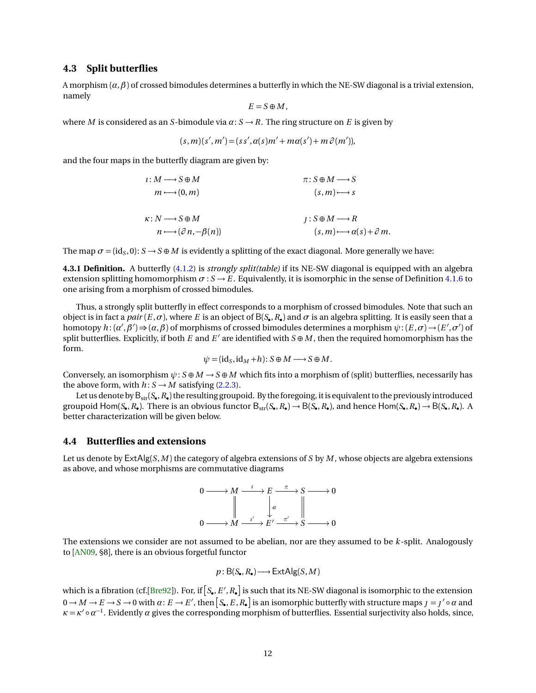## <span id="page-11-0"></span>**4.3 Split butterflies**

A morphism  $(\alpha, \beta)$  of crossed bimodules determines a butterfly in which the NE-SW diagonal is a trivial extension, namely

$$
E=S\oplus M,
$$

where *M* is considered as an *S*-bimodule via  $\alpha$ :  $S \rightarrow R$ . The ring structure on *E* is given by

$$
(s,m)(s',m') = (ss',\alpha(s)m' + m\alpha(s') + m\beta(m')),
$$

and the four maps in the butterfly diagram are given by:

$$
i: M \longrightarrow S \oplus M \qquad \pi: S \oplus M \longrightarrow S
$$
  
\n
$$
m \longmapsto (0, m) \qquad (s, m) \longmapsto s
$$
  
\n
$$
\kappa: N \longrightarrow S \oplus M \qquad \qquad j: S \oplus M \longrightarrow R
$$
  
\n
$$
n \longmapsto (\partial n, -\beta(n)) \qquad (s, m) \longmapsto \alpha(s) + \partial m.
$$

The map  $\sigma = (id_S, 0)$ :  $S \to S \oplus M$  is evidently a splitting of the exact diagonal. More generally we have:

**4.3.1 Definition.** A butterfly [\(4.1.2\)](#page-9-3) is *strongly split(table)* if its NE-SW diagonal is equipped with an algebra extension splitting homomorphism  $\sigma : S \to E$ . Equivalently, it is isomorphic in the sense of Definition [4.1.6](#page-10-0) to one arising from a morphism of crossed bimodules.

Thus, a strongly split butterfly in effect corresponds to a morphism of crossed bimodules. Note that such an object is in fact a  $pair(E,\sigma)$ , where  $E$  is an object of  $B(S_{\bullet},R_{\bullet})$  and  $\sigma$  is an algebra splitting. It is easily seen that a homotopy  $h:(\alpha',\beta') \Rightarrow (\alpha,\beta)$  of morphisms of crossed bimodules determines a morphism  $\psi:(E,\sigma)\to (E',\sigma')$  of split butterflies. Explicitly, if both  $E$  and  $E'$  are identified with  $S \oplus M$ , then the required homomorphism has the form.

$$
\psi = (\mathrm{id}_S, \mathrm{id}_M + h) : S \oplus M \longrightarrow S \oplus M.
$$

Conversely, an isomorphism  $\psi$ :  $S \oplus M \to S \oplus M$  which fits into a morphism of (split) butterflies, necessarily has the above form, with  $h: S \rightarrow M$  satisfying [\(2.2.3\)](#page-6-1).

Let us denote by  $\mathsf{B}_{\text{str}}(\mathsf{S}_\bullet,R_\bullet)$  the resulting groupoid. By the foregoing, it is equivalent to the previously introduced groupoid  $\text{Hom}(S_{\bullet}, R_{\bullet})$ . There is an obvious functor  $B_{str}(S_{\bullet}, R_{\bullet}) \to B(S_{\bullet}, R_{\bullet})$ , and hence  $\text{Hom}(S_{\bullet}, R_{\bullet}) \to B(S_{\bullet}, R_{\bullet})$ . A better characterization will be given below.

#### **4.4 Butterflies and extensions**

Let us denote by ExtAlg(*S*,*M* ) the category of algebra extensions of *S* by *M* , whose objects are algebra extensions as above, and whose morphisms are commutative diagrams



The extensions we consider are not assumed to be abelian, nor are they assumed to be *k*-split. Analogously to [[AN09,](#page-20-1) §8], there is an obvious forgetful functor

$$
p: \mathsf{B}(S_\bullet, R_\bullet) \longrightarrow \mathsf{ExtAlg}(S, M)
$$

which is a fibration (cf.[[Bre92](#page-21-17)]). For, if  $[S_\bullet,E',R_\bullet]$  is such that its NE-SW diagonal is isomorphic to the extension  $0 \to M \to E \to S \to 0$  with  $\alpha: E \to E'$ , then  $\bigl[S_\bullet, E, R_\bullet\bigr]$  is an isomorphic butterfly with structure maps  $\jmath = \jmath' \circ \alpha$  and  $\kappa = \kappa' \circ \alpha^{-1}$ . Evidently  $\alpha$  gives the corresponding morphism of butterflies. Essential surjectivity also holds, since,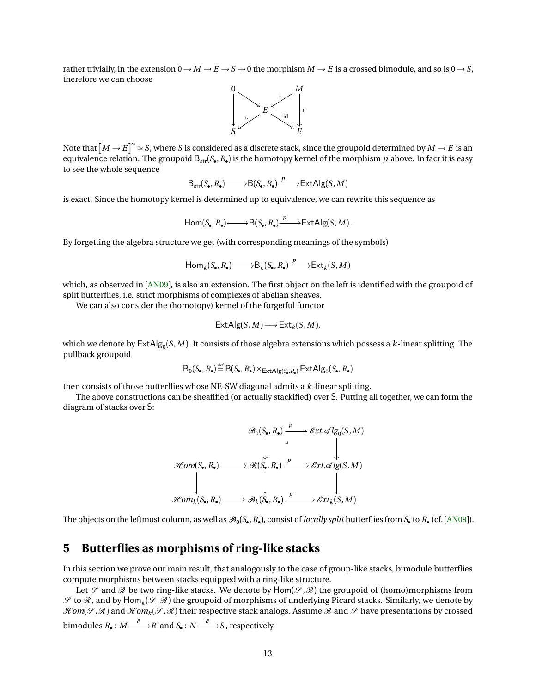rather trivially, in the extension  $0 \to M \to E \to S \to 0$  the morphism  $M \to E$  is a crossed bimodule, and so is  $0 \to S$ , therefore we can choose



Note that  $[M \to E]^{\sim} \simeq S$ , where  $S$  is considered as a discrete stack, since the groupoid determined by  $M \to E$  is an equivalence relation. The groupoid  $\mathsf{B}_{\rm str}(S_\bullet,R_\bullet)$  is the homotopy kernel of the morphism  $p$  above. In fact it is easy to see the whole sequence

$$
\mathsf{B}_{\mathsf{str}}(S_\bullet, R_\bullet) \longrightarrow \mathsf{B}(S_\bullet, R_\bullet) \xrightarrow{p} \mathsf{ExtAlg}(S, M)
$$

is exact. Since the homotopy kernel is determined up to equivalence, we can rewrite this sequence as

$$
\mathsf{Hom}(S_{\bullet}, R_{\bullet}) \longrightarrow \mathsf{B}(S_{\bullet}, R_{\bullet}) \xrightarrow{p} \mathsf{ExtAlg}(S, M).
$$

By forgetting the algebra structure we get (with corresponding meanings of the symbols)

$$
\mathsf{Hom}_k(S_\bullet, R_\bullet) \longrightarrow \mathsf{B}_k(S_\bullet, R_\bullet) \xrightarrow{p} \mathsf{Ext}_k(S, M)
$$

which, as observed in [[AN09](#page-20-1)], is also an extension. The first object on the left is identified with the groupoid of split butterflies, i.e. strict morphisms of complexes of abelian sheaves.

We can also consider the (homotopy) kernel of the forgetful functor

$$
\mathsf{ExtAlg}(S, M) \longrightarrow \mathsf{Ext}_k(S, M),
$$

which we denote by  $\mathsf{ExtAlg}_0(S,M)$ . It consists of those algebra extensions which possess a  $k$ -linear splitting. The pullback groupoid

$$
B_0(S_{\bullet}, R_{\bullet}) \stackrel{\text{def}}{=} B(S_{\bullet}, R_{\bullet}) \times_{\text{ExtAlg}(S_{\bullet}, R_{\bullet})} \text{ExtAlg}_0(S_{\bullet}, R_{\bullet})
$$

then consists of those butterflies whose NE-SW diagonal admits a *k*-linear splitting.

The above constructions can be sheafified (or actually stackified) over S. Putting all together, we can form the diagram of stacks over S:



The objects on the leftmost column, as well as  $\mathcal{B}_0(S_\bullet, R_\bullet)$ , consist of *locally split* butterflies from  $S_\bullet$  to  $R_\bullet$  (cf. [[AN09](#page-20-1)]).

# <span id="page-12-0"></span>**5 Butterflies as morphisms of ring-like stacks**

In this section we prove our main result, that analogously to the case of group-like stacks, bimodule butterflies compute morphisms between stacks equipped with a ring-like structure.

Let  $\mathscr S$  and  $\mathscr R$  be two ring-like stacks. We denote by  $\text{Hom}(\mathscr S,\mathscr R)$  the groupoid of (homo)morphisms from  $\mathscr S$  to  $\mathscr R$  , and by  $\mathsf{Hom}_k(\mathscr S,\mathscr R)$  the groupoid of morphisms of underlying Picard stacks. Similarly, we denote by  $\mathscr{Hom}(\mathscr{S},\mathscr{R})$  and  $\mathscr{Hom}_k(\mathscr{S},\mathscr{R})$  their respective stack analogs. Assume  $\mathscr{R}$  and  $\mathscr{S}$  have presentations by crossed bimodules  $R_{\bullet}: M \stackrel{\partial}{\longrightarrow} R$  and  $S_{\bullet}: N \stackrel{\partial}{\longrightarrow} S$  , respectively.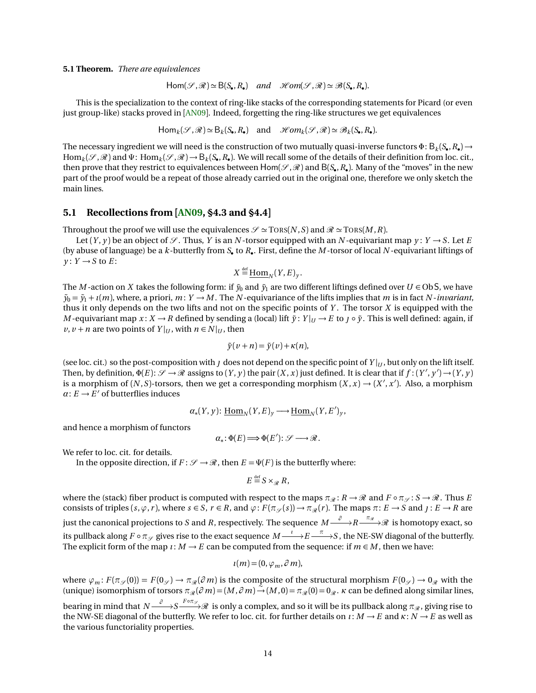<span id="page-13-1"></span><span id="page-13-0"></span>**5.1 Theorem.** *There are equivalences*

 $Hom(\mathcal{S}, \mathcal{R}) \simeq B(S_{\bullet}, R_{\bullet})$  and  $Hom(\mathcal{S}, \mathcal{R}) \simeq \mathcal{B}(S_{\bullet}, R_{\bullet}).$ 

This is the specialization to the context of ring-like stacks of the corresponding statements for Picard (or even just group-like) stacks proved in [[AN09](#page-20-1)]. Indeed, forgetting the ring-like structures we get equivalences

 $\text{Hom}_k(\mathcal{S}, \mathcal{R}) \simeq \text{B}_k(S_\bullet, R_\bullet)$  and  $\mathcal{H}om_k(\mathcal{S}, \mathcal{R}) \simeq \mathcal{B}_k(S_\bullet, R_\bullet).$ 

The necessary ingredient we will need is the construction of two mutually quasi-inverse functors  $\Phi$ :  $B_k(S_\bullet, R_\bullet)$   $\to$  $\text{Hom}_k(\mathscr{S},\mathscr{R})$  and  $\Psi$ :  $\text{Hom}_k(\mathscr{S},\mathscr{R}) \to \text{B}_k(\mathcal{S}_\bullet,R_\bullet)$ . We will recall some of the details of their definition from loc. cit., then prove that they restrict to equivalences between  $Hom(\mathscr{S}, \mathscr{R})$  and  $B(S_{\bullet}, R_{\bullet})$ . Many of the "moves" in the new part of the proof would be a repeat of those already carried out in the original one, therefore we only sketch the main lines.

#### **5.1 Recollections from [[AN09,](#page-20-1) §4.3 and §4.4]**

Throughout the proof we will use the equivalences  $\mathscr{S} \simeq \text{TORS}(N, S)$  and  $\mathscr{R} \simeq \text{TORS}(M, R)$ .

Let  $(Y, y)$  be an object of  $\mathscr{S}$ . Thus, *Y* is an *N*-torsor equipped with an *N*-equivariant map  $y: Y \to S$ . Let *E* (by abuse of language) be a  $k$ -butterfly from  $S_{\bullet}$  to  $R_{\bullet}$ . First, define the  $M$ -torsor of local  $N$ -equivariant liftings of  $y: Y \rightarrow S$  to *E*:

 $X \stackrel{\text{def}}{=} \underline{\text{Hom}}_N(Y, E)_y.$ 

The *M* -action on *X* takes the following form: if  $\tilde{y}_0$  and  $\tilde{y}_1$  are two different liftings defined over  $U \in \text{Ob } S$ , we have  $\tilde{y}_0 = \tilde{y}_1 + i(m)$ , where, a priori,  $m: Y \to M$ . The *N*-equivariance of the lifts implies that *m* is in fact *N*-*invariant*, thus it only depends on the two lifts and not on the specific points of *Y* . The torsor *X* is equipped with the *M* -equivariant map  $x: X \to R$  defined by sending a (local) lift  $\tilde{y}: Y|_U \to E$  to  $\tilde{y} \circ \tilde{y}$ . This is well defined: again, if  $v, v + n$  are two points of  $Y|_U$ , with  $n \in N|_U$ , then

$$
\tilde{y}(v+n) = \tilde{y}(v) + \kappa(n),
$$

(see loc. cit.) so the post-composition with *J* does not depend on the specific point of  $Y|_U$ , but only on the lift itself. Then, by definition,  $\Phi(E): \mathscr{S} \to \mathscr{R}$  assigns to  $(Y, y)$  the pair  $(X, x)$  just defined. It is clear that if  $f: (Y', y') \to (Y, y)$ is a morphism of  $(N, S)$ -torsors, then we get a corresponding morphism  $(X, x) \rightarrow (X', x')$ . Also, a morphism  $\alpha: E \to E'$  of butterflies induces

$$
\alpha_*(Y, y) \colon \underline{\text{Hom}}_N(Y, E)_y \longrightarrow \underline{\text{Hom}}_N(Y, E')_y,
$$

and hence a morphism of functors

$$
\alpha_*\colon \Phi(E)\Longrightarrow \Phi(E')\colon \mathscr{S}\longrightarrow \mathscr{R}.
$$

We refer to loc. cit. for details.

In the opposite direction, if  $F: \mathcal{S} \to \mathcal{R}$ , then  $E = \Psi(F)$  is the butterfly where:

$$
E \stackrel{\text{def}}{=} S \times_{\mathscr{R}} R,
$$

where the (stack) fiber product is computed with respect to the maps  $\pi_{\mathcal{R}}: R \to \mathcal{R}$  and  $F \circ \pi_{\mathcal{S}}: S \to \mathcal{R}$ . Thus *E* consists of triples  $(s, \varphi, r)$ , where  $s \in S$ ,  $r \in R$ , and  $\varphi$ :  $F(\pi_{\mathscr{S}}(s)) \to \pi_{\mathscr{R}}(r)$ . The maps  $\pi: E \to S$  and  $\jmath: E \to R$  are just the canonical projections to *S* and *R*, respectively. The sequence  $M \stackrel{\partial}{\longrightarrow} R \stackrel{\pi_x}{\longrightarrow} \mathscr{R}$  is homotopy exact, so its pullback along  $F\circ \pi_\mathscr{S}$  gives rise to the exact sequence  $M\!\stackrel{\iota}{\longrightarrow}\!\! E\!\stackrel{\pi}{\longrightarrow}\! S$  , the NE-SW diagonal of the butterfly. The explicit form of the map  $\iota: M \to E$  can be computed from the sequence: if  $m \in M$ , then we have:

$$
u(m)=(0,\varphi_m,\partial m),
$$

where  $\varphi_m$ :  $F(\pi_{\mathscr{S}}(0)) = F(0_{\mathscr{S}}) \to \pi_{\mathscr{R}}(\partial m)$  is the composite of the structural morphism  $F(0_{\mathscr{S}}) \to 0_{\mathscr{R}}$  with the (unique) isomorphism of torsors  $\pi_{\mathcal{R}}(\partial m) = (M, \partial m) \rightarrow (M, 0) = \pi_{\mathcal{R}}(0) = 0_{\mathcal{R}}$ . *κ* can be defined along similar lines,

bearing in mind that  $N {\stackrel{\partial}\longrightarrow} S {\stackrel{F\circ\pi_{\mathscr{S}}}{\longrightarrow}} {\mathscr R}$  is only a complex, and so it will be its pullback along  $\pi_{\mathscr R},$  giving rise to the NW-SE diagonal of the butterfly. We refer to loc. cit. for further details on  $\iota : M \to E$  and  $\kappa : N \to E$  as well as the various functoriality properties.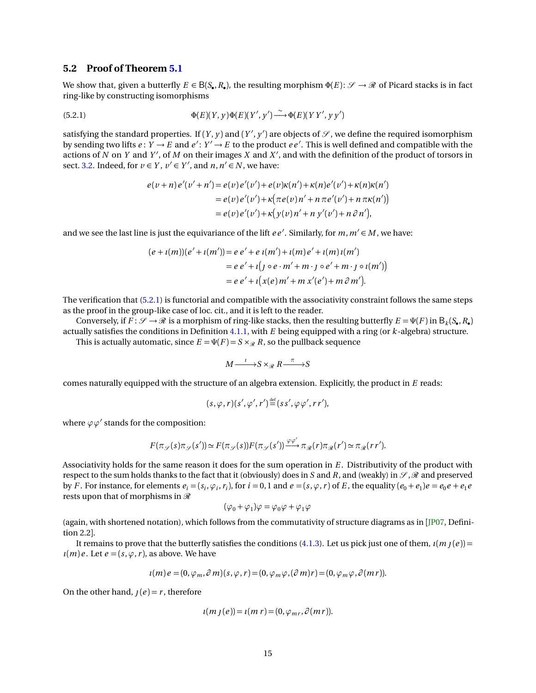## <span id="page-14-1"></span>**5.2 Proof of Theorem [5.1](#page-13-0)**

We show that, given a butterfly  $E \in B(S_{\bullet}, R_{\bullet})$ , the resulting morphism  $\Phi(E): \mathscr{S} \to \mathscr{R}$  of Picard stacks is in fact ring-like by constructing isomorphisms

(5.2.1) 
$$
\Phi(E)(Y, y)\Phi(E)(Y', y') \stackrel{\sim}{\longrightarrow} \Phi(E)(Y Y', y y')
$$

satisfying the standard properties. If  $(Y, y)$  and  $(Y', y')$  are objects of  $\mathscr S$  , we define the required isomorphism by sending two lifts  $e: Y \to E$  and  $e': Y' \to E$  to the product  $ee'$ . This is well defined and compatible with the actions of  $N$  on  $Y$  and  $Y'$ , of  $M$  on their images  $X$  and  $X'$ , and with the definition of the product of torsors in sect. [3.2.](#page-7-2) Indeed, for  $v \in Y$ ,  $v' \in Y'$ , and  $n, n' \in N$ , we have:

<span id="page-14-0"></span>
$$
e(\nu + n)e'(\nu' + n') = e(\nu)e'(\nu') + e(\nu)\kappa(n') + \kappa(n)e'(\nu') + \kappa(n)\kappa(n')
$$
  
=  $e(\nu)e'(\nu') + \kappa(\pi e(\nu)n' + n \pi e'(\nu') + n \pi \kappa(n'))$   
=  $e(\nu)e'(\nu') + \kappa(y(\nu)n' + n y'(\nu') + n \partial n'),$ 

and we see the last line is just the equivariance of the lift  $ee'$ . Similarly, for  $m, m' \in M$ , we have:

$$
(e + i(m))(e' + i(m')) = e e' + e i(m') + i(m)e' + i(m)i(m')
$$
  
=  $e e' + i(j \circ e \cdot m' + m \cdot j \circ e' + m \cdot j \circ i(m'))$   
=  $e e' + i(x(e) m' + m x'(e') + m \partial m').$ 

The verification that [\(5.2.1\)](#page-14-0) is functorial and compatible with the associativity constraint follows the same steps as the proof in the group-like case of loc. cit., and it is left to the reader.

Conversely, if  $F: \mathscr{S} \to \mathscr{R}$  is a morphism of ring-like stacks, then the resulting butterfly  $E = \Psi(F)$  in  $B_k(S_\bullet, R_\bullet)$ actually satisfies the conditions in Definition [4.1.1,](#page-9-4) with *E* being equipped with a ring (or *k*-algebra) structure. This is actually automatic, since  $E = \Psi(F) = S \times_R R$ , so the pullback sequence

$$
M \xrightarrow{\iota} S \times_{\mathcal{R}} R \xrightarrow{\pi} S
$$

comes naturally equipped with the structure of an algebra extension. Explicitly, the product in *E* reads:

$$
(s,\varphi,r)(s',\varphi',r') \stackrel{\text{def}}{=} (ss',\varphi\varphi',rr'),
$$

where  $\varphi \varphi'$  stands for the composition:

$$
F(\pi_{\mathscr{S}}(s)\pi_{\mathscr{S}}(s')) \simeq F(\pi_{\mathscr{S}}(s))F(\pi_{\mathscr{S}}(s')) \xrightarrow{\varphi \varphi'} \pi_{\mathscr{R}}(r)\pi_{\mathscr{R}}(r') \simeq \pi_{\mathscr{R}}(rr').
$$

Associativity holds for the same reason it does for the sum operation in *E* . Distributivity of the product with respect to the sum holds thanks to the fact that it (obviously) does in *S* and *R*, and (weakly) in  $\mathcal{S}, \mathcal{R}$  and preserved by F. For instance, for elements  $e_i = (s_i, \varphi_i, r_i)$ , for  $i = 0, 1$  and  $e = (s, \varphi, r)$  of E, the equality  $(e_0 + e_1)e = e_0e + e_1e$ rests upon that of morphisms in  $\mathcal R$ 

$$
(\varphi_0 + \varphi_1)\varphi = \varphi_0\varphi + \varphi_1\varphi
$$

(again, with shortened notation), which follows from the commutativity of structure diagrams as in [[JP07,](#page-21-0) Definition 2.2].

It remains to prove that the butterfly satisfies the conditions [\(4.1.3\)](#page-9-2). Let us pick just one of them,  $\iota(m)(e)$  =  $\iota(m)e$ . Let  $e = (s, \varphi, r)$ , as above. We have

$$
u(m)e = (0, \varphi_m, \partial m)(s, \varphi, r) = (0, \varphi_m \varphi, (\partial m)r) = (0, \varphi_m \varphi, \partial (mr)).
$$

On the other hand,  $j(e) = r$ , therefore

$$
u(m\,J(e))=u(m\,r)=(0,\varphi_{mr},\partial(m\,r)).
$$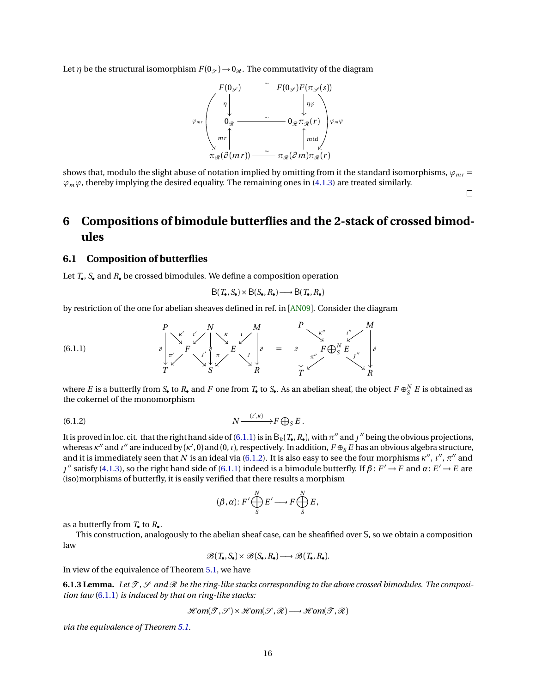<span id="page-15-4"></span>Let *η* be the structural isomorphism  $F(0_\mathcal{P}) \to 0_\mathcal{P}$ . The commutativity of the diagram



shows that, modulo the slight abuse of notation implied by omitting from it the standard isomorphisms,  $\varphi_{mr}$  =  $\varphi_m \varphi$ , thereby implying the desired equality. The remaining ones in [\(4.1.3\)](#page-9-2) are treated similarly.

 $\Box$ 

# <span id="page-15-1"></span>**6 Compositions of bimodule butterflies and the 2-stack of crossed bimodules**

## <span id="page-15-0"></span>**6.1 Composition of butterflies**

Let *T*• , *S*• and *R*• be crossed bimodules. We define a composition operation

<span id="page-15-2"></span>
$$
B(T_{\bullet}, S_{\bullet}) \times B(S_{\bullet}, R_{\bullet}) \longrightarrow B(T_{\bullet}, R_{\bullet})
$$

by restriction of the one for abelian sheaves defined in ref. in [[AN09](#page-20-1)]. Consider the diagram

(6.1.1) *P ∂ κ* 0 *N ı* 0 ~~ *∂ κ M ı* ~~ *∂ F π* 0 ~~ 0 *E π* ~~ *T S R* = *P ∂ κ* 00 *M ∂ ı* 00 zz *F* L*<sup>N</sup> S E π* 00 zz 00 \$ *T R*

where *E* is a butterfly from *S*• to *R*• and *F* one from *T*• to *S*•. As an abelian sheaf, the object  $F \oplus_S^N E$  is obtained as the cokernel of the monomorphism

$$
(6.1.2) \t\t N \xrightarrow{(t',\kappa)} F \bigoplus_S E .
$$

It is proved in loc. cit. that the right hand side of [\(6.1.1\)](#page-15-2) is in  $B_k(T_\bullet,R_\bullet)$ , with  $\pi''$  and  $\jmath''$  being the obvious projections, whereas *κ"* and *ι"* are induced by (*κ'*, 0) and (0, *ι*), respectively. In addition, *F* ⊕<sub>S</sub> *E* has an obvious algebra structure, and it is immediately seen that  $N$  is an ideal via [\(6.1.2\)](#page-15-3). It is also easy to see the four morphisms  $\kappa'',\iota'',\pi''$  and  $0<sup>o</sup>$  satisfy [\(4.1.3\)](#page-9-2), so the right hand side of [\(6.1.1\)](#page-15-2) indeed is a bimodule butterfly. If *β* : *F* → *F* and *α*: *E* → *E* are (iso)morphisms of butterfly, it is easily verified that there results a morphism

<span id="page-15-3"></span>
$$
(\beta, \alpha): F' \bigoplus_{S}^{N} E' \longrightarrow F \bigoplus_{S}^{N} E,
$$

as a butterfly from  $T_{\bullet}$  to  $R_{\bullet}$ .

This construction, analogously to the abelian sheaf case, can be sheafified over S, so we obtain a composition law

 $\mathscr{B}(T_{\bullet}, S_{\bullet}) \times \mathscr{B}(S_{\bullet}, R_{\bullet}) \longrightarrow \mathscr{B}(T_{\bullet}, R_{\bullet}).$ 

In view of the equivalence of Theorem [5.1,](#page-13-0) we have

**6.1.3 Lemma.** Let  $\mathcal{T}, \mathcal{S}$  and  $\mathcal{R}$  be the ring-like stacks corresponding to the above crossed bimodules. The composi*tion law* [\(6.1.1\)](#page-15-2) *is induced by that on ring-like stacks:*

$$
\mathcal{H}\textit{om}(\mathcal{T},\mathcal{S}) \times \mathcal{H}\textit{om}(\mathcal{S},\mathcal{R}) \longrightarrow \mathcal{H}\textit{om}(\mathcal{T},\mathcal{R})
$$

*via the equivalence of Theorem [5.1.](#page-13-0)*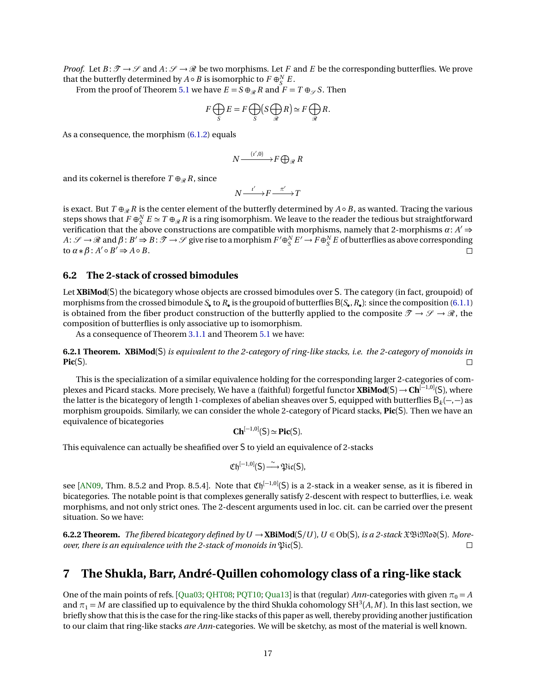<span id="page-16-3"></span>*Proof.* Let  $B: \mathcal{T} \to \mathcal{S}$  and  $A: \mathcal{S} \to \mathcal{R}$  be two morphisms. Let F and E be the corresponding butterflies. We prove that the butterfly determined by  $A \circ B$  is isomorphic to  $F \oplus_S^N E$ .

From the proof of Theorem [5.1](#page-13-0) we have  $E = S \oplus_R R$  and  $F = T \oplus_S S$ . Then

$$
F \bigoplus_{S} E = F \bigoplus_{S} \left( S \bigoplus_{\mathcal{R}} R \right) \simeq F \bigoplus_{\mathcal{R}} R.
$$

As a consequence, the morphism [\(6.1.2\)](#page-15-3) equals

$$
N \xrightarrow{(i',0)} F \bigoplus_{\mathcal{R}} R
$$

and its cokernel is therefore  $T \oplus_{\mathcal{R}} R$ , since

$$
N \xrightarrow{i'} F \xrightarrow{\pi'} T
$$

is exact. But  $T \oplus_{\mathcal{R}} R$  is the center element of the butterfly determined by  $A \circ B$ , as wanted. Tracing the various steps shows that  $F\oplus^N_S E \simeq T\oplus_{\mathscr{R}} R$  is a ring isomorphism. We leave to the reader the tedious but straightforward verification that the above constructions are compatible with morphisms, namely that 2-morphisms  $\alpha$ :  $A' \Rightarrow$  $A: \mathscr{S} \to \mathscr{R}$  and  $\beta: B' \Rightarrow B: \mathscr{T} \to \mathscr{S}$  give rise to a morphism  $F' \oplus_S^N E' \to F \oplus_S^N E$  of butterflies as above corresponding  $\iota$  **c**  $\alpha * \beta : A' \circ B' \Rightarrow A \circ B$ . П

## **6.2 The 2-stack of crossed bimodules**

Let **XBiMod**(S) the bicategory whose objects are crossed bimodules over S. The category (in fact, groupoid) of morphisms from the crossed bimodule *S*• to *R*• is the groupoid of butterfliesB(*S*• ,*R*• ): since the composition [\(6.1.1\)](#page-15-2) is obtained from the fiber product construction of the butterfly applied to the composite  $\mathcal{T} \to \mathcal{S} \to \mathcal{R}$ , the composition of butterflies is only associative up to isomorphism.

As a consequence of Theorem [3.1.1](#page-7-0) and Theorem [5.1](#page-13-0) we have:

<span id="page-16-0"></span>**6.2.1 Theorem. XBiMod**(S) *is equivalent to the 2-category of ring-like stacks, i.e. the 2-category of monoids in* **Pic**(S)*.*

This is the specialization of a similar equivalence holding for the corresponding larger 2-categories of complexes and Picard stacks. More precisely, We have a (faithful) forgetful functor **XBiMod**(S) <sup>→</sup> **Ch**[−1,0] (S), where the latter is the bicategory of length 1-complexes of abelian sheaves over S, equipped with butterflies B*<sup>k</sup>* (−,−) as morphism groupoids. Similarly, we can consider the whole 2-category of Picard stacks, **Pic**(S). Then we have an equivalence of bicategories

$$
\mathbf{Ch}^{[-1,0]}(\mathsf{S})\simeq \mathbf{Pic}(\mathsf{S}).
$$

This equivalence can actually be sheafified over S to yield an equivalence of 2-stacks

$$
\mathfrak{Ch}^{[-1,0]}(\mathsf{S}) \stackrel{\sim}{\longrightarrow} \mathfrak{Pic}(\mathsf{S}),
$$

see [[AN09,](#page-20-1) Thm. 8.5.2 and Prop. 8.5.4]. Note that  $\mathfrak{Ch}^{[-1,0]}(\mathsf{S})$  is a 2-stack in a weaker sense, as it is fibered in bicategories. The notable point is that complexes generally satisfy 2-descent with respect to butterflies, i.e. weak morphisms, and not only strict ones. The 2-descent arguments used in loc. cit. can be carried over the present situation. So we have:

<span id="page-16-1"></span>**6.2.2 Theorem.** *The fibered bicategory defined by*  $U$  → **XBiMod**( $S/U$ )*,*  $U \in Ob(S)$ *, is a 2-stack*  $\mathfrak{XBiMod}(S)$ *. Moreover, there is an equivalence with the 2-stack of monoids in*  $\mathfrak{Pic}(S)$ *.*  $\Box$ 

# <span id="page-16-2"></span>**7 The Shukla, Barr, André-Quillen cohomology class of a ring-like stack**

One of the main points of refs. [[Qua03;](#page-21-2) [QHT08;](#page-22-0) [PQT10;](#page-21-18) [Qua13](#page-21-1)] is that (regular) *Ann*-categories with given  $\pi_0 = A$ and  $\pi_1$  =  $M$  are classified up to equivalence by the third Shukla cohomology SH $^3$ (*A, M*). In this last section, we briefly show that this is the case for the ring-like stacks of this paper as well, thereby providing another justification to our claim that ring-like stacks *are Ann*-categories. We will be sketchy, as most of the material is well known.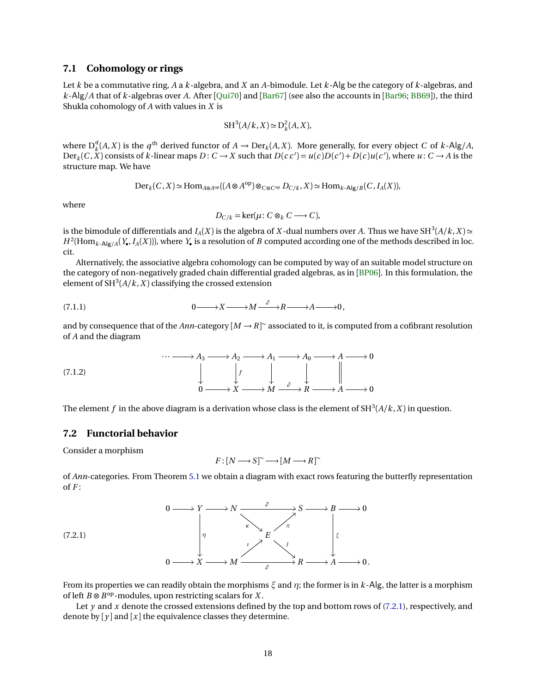## <span id="page-17-3"></span>**7.1 Cohomology or rings**

Let *k* be a commutative ring, *A* a *k*-algebra, and *X* an *A*-bimodule. Let *k*-Alg be the category of *k*-algebras, and *k*-Alg*/A* that of *k*-algebras over *A*. After [[Qui70](#page-22-2)] and [[Bar67](#page-20-3)] (see also the accounts in [[Bar96;](#page-20-4) [BB69](#page-20-5)]), the third Shukla cohomology of *A* with values in *X* is

$$
SH^3(A/k, X) \simeq D_k^2(A, X),
$$

where  $D_k^q$  $R_k^q(A, X)$  is the *q*<sup>th</sup> derived functor of *A*  $\rightarrow$  Der<sub>*k*</sub>(*A*,*X*). More generally, for every object *C* of *k*-Alg/*A*, Der<sub>k</sub>(C, X) consists of k-linear maps  $D: C \to X$  such that  $D(c c') = u(c)D(c') + D(c)u(c')$ , where  $u: C \to A$  is the structure map. We have

$$
\mathrm{Der}_k(C, X) \simeq \mathrm{Hom}_{A \otimes A^{\mathrm{op}}}((A \otimes A^{\mathrm{op}}) \otimes_{C \otimes C^{\mathrm{op}}} D_{C/k}, X) \simeq \mathrm{Hom}_{k \cdot \mathrm{Alg}/B}(C, I_A(X)),
$$

where

<span id="page-17-2"></span>
$$
D_{C/k} = \ker(\mu : C \otimes_k C \longrightarrow C),
$$

is the bimodule of differentials and  $I_A(X)$  is the algebra of  $X$ -dual numbers over  $A.$  Thus we have SH $^3(A/k, X)$   $\simeq$  $H^2(\text{Hom}_{k\text{-}Alg/A}(Y_{\bullet}, I_A(X))),$  where  $Y_{\bullet}$  is a resolution of *B* computed according one of the methods described in loc. cit.

Alternatively, the associative algebra cohomology can be computed by way of an suitable model structure on the category of non-negatively graded chain differential graded algebras, as in [[BP06](#page-21-4)]. In this formulation, the element of  $SH^3(A/k, X)$  classifying the crossed extension

(7.1.1) 
$$
0 \longrightarrow X \longrightarrow M \stackrel{\partial}{\longrightarrow} R \longrightarrow A \longrightarrow 0,
$$

and by consequence that of the  $Ann\text{-}category$   $[M\to R]^{\sim}$  associated to it, is computed from a cofibrant resolution of *A* and the diagram



<span id="page-17-1"></span>The element  $f$  in the above diagram is a derivation whose class is the element of SH $^3(A/k,X)$  in question.

#### **7.2 Functorial behavior**

Consider a morphism

<span id="page-17-0"></span>
$$
F: [N \longrightarrow S] \tilde{\ }
$$

$$
[M \longrightarrow R] \tilde{\ }
$$

of *Ann*-categories. From Theorem [5.1](#page-13-0) we obtain a diagram with exact rows featuring the butterfly representation of *F* :

$$
(7.2.1)
$$
\n
$$
\begin{array}{ccc}\n & 0 \longrightarrow Y \longrightarrow N \longrightarrow \mathop{\longrightarrow} \mathop{\longrightarrow} \mathop{\longrightarrow} \mathop{\longrightarrow} \mathop{\longrightarrow} \mathop{\longrightarrow} \mathop{\longrightarrow} \mathop{\longrightarrow} \mathop{\longrightarrow} \mathop{\longrightarrow} \mathop{\longrightarrow} \mathop{\longrightarrow} \mathop{\longrightarrow} \mathop{\longrightarrow} \mathop{\longrightarrow} \mathop{\longrightarrow} \mathop{\longrightarrow} \mathop{\longrightarrow} \mathop{\longrightarrow} \mathop{\longrightarrow} \mathop{\longrightarrow} \mathop{\longrightarrow} \mathop{\longrightarrow} \mathop{\longrightarrow} \mathop{\longrightarrow} \mathop{\longrightarrow} \mathop{\longrightarrow} \mathop{\longrightarrow} \mathop{\longrightarrow} \mathop{\longrightarrow} \mathop{\longrightarrow} \mathop{\longrightarrow} \mathop{\longrightarrow} \mathop{\longrightarrow} \mathop{\longrightarrow} \mathop{\longrightarrow} \mathop{\longrightarrow} \mathop{\longrightarrow} \mathop{\longrightarrow} \mathop{\longrightarrow} \mathop{\longrightarrow} \mathop{\longrightarrow} \mathop{\longrightarrow} \mathop{\longrightarrow} \mathop{\longrightarrow} \mathop{\longrightarrow} \mathop{\longrightarrow} \mathop{\longrightarrow} \mathop{\longrightarrow} \mathop{\longrightarrow} \mathop{\longrightarrow} \mathop{\longrightarrow} \mathop{\longrightarrow} \mathop{\longrightarrow} \mathop{\longrightarrow} \mathop{\longrightarrow} \mathop{\longrightarrow} \mathop{\longrightarrow} \mathop{\longrightarrow} \mathop{\longrightarrow} \mathop{\longrightarrow} \mathop{\longrightarrow} \mathop{\longrightarrow} \mathop{\longrightarrow} \mathop{\longrightarrow} \mathop{\longrightarrow} \mathop{\longrightarrow} \mathop{\longrightarrow} \mathop{\longrightarrow} \mathop{\longrightarrow} \mathop{\longrightarrow} \mathop{\longrightarrow} \mathop{\longrightarrow} \mathop{\longrightarrow} \mathop{\longrightarrow} \mathop{\longrightarrow} \mathop{\longrightarrow} \mathop{\longrightarrow} \mathop{\longrightarrow} \mathop{\longrightarrow} \mathop{\longrightarrow} \mathop{\longrightarrow} \mathop{\longrightarrow} \mathop{\longrightarrow} \mathop{\longrightarrow} \mathop{\longrightarrow} \mathop{\longrightarrow} \mathop{\longrightarrow} \mathop{\longrightarrow} \mathop{\longrightarrow} \mathop{\longrightarrow} \mathop{\longrightarrow} \mathop{\longrightarrow} \mathop{\longrightarrow} \mathop{\longrightarrow} \mathop{\longrightarrow} \mathop{\longrightarrow} \mathop{\longrightarrow} \mathop{\longrightarrow} \mathop{\longrightarrow} \mathop{\longrightarrow} \mathop{\longrightarrow} \mathop{\longrightarrow} \mathop{\longrightarrow} \mathop{\longrightarrow} \mathop{\longrightarrow} \mathop{\longrightarrow} \mathop{\longrightarrow} \mathop{\longrightarrow} \mathop{\longrightarrow} \mathop{\longrightarrow} \mathop{\longrightarrow} \mathop{\longrightarrow} \mathop{\longrightarrow} \mathop{\longrightarrow} \mathop{\longrightarrow} \mathop{\longrightarrow} \mathop{\longrightarrow} \mathop{\longrightarrow} \mathop{\longrightarrow} \mathop{\
$$

From its properties we can readily obtain the morphisms *ξ* and *η*; the former is in *k*-Alg, the latter is a morphism of left *B* ⊗ *B* op-modules, upon restricting scalars for *X* .

Let *y* and *x* denote the crossed extensions defined by the top and bottom rows of [\(7.2.1\)](#page-17-0), respectively, and denote by  $[y]$  and  $[x]$  the equivalence classes they determine.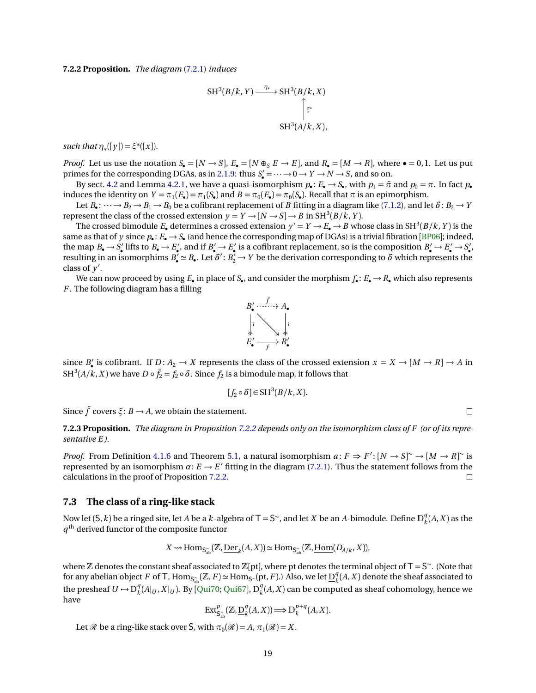<span id="page-18-2"></span><span id="page-18-0"></span>**7.2.2 Proposition.** *The diagram* [\(7.2.1\)](#page-17-0) *induces*

$$
SH3(B/k, Y) \xrightarrow{\eta_*} SH3(B/k, X)
$$

$$
SH3(A/k, X),
$$

*such that*  $\eta_*([y]) = \xi^*([x])$ *.* 

*Proof.* Let us use the notation  $S_{\bullet} = [N \to S], E_{\bullet} = [N \oplus_{S} E \to E],$  and  $R_{\bullet} = [M \to R],$  where  $\bullet = 0, 1$ . Let us put primes for the corresponding DGAs, as in [2.1.9:](#page-5-3) thus  $S'_\bullet = \cdots \to 0 \to Y \to N \to S$ , and so on.

By sect. [4.2](#page-10-1) and Lemma [4.2.1,](#page-10-2) we have a quasi-isomorphism  $p_e: E_e \to S_e$ , with  $p_1 = \pi$  and  $p_0 = \pi$ . In fact  $p_e$ induces the identity on  $Y = \pi_1(E_\bullet) = \pi_1(S_\bullet)$  and  $B = \pi_0(E_\bullet) = \pi_0(S_\bullet)$ . Recall that  $\pi$  is an epimorphism.

Let  $B_{\bullet}$ :  $\cdots \to B_2 \to B_1 \to B_0$  be a cofibrant replacement of *B* fitting in a diagram like [\(7.1.2\)](#page-17-1), and let  $\delta: B_2 \to Y$ represent the class of the crossed extension  $y = Y \rightarrow [N \rightarrow S] \rightarrow B$  in  $SH^3(B/k, Y)$ .

The crossed bimodule  $E_{\bullet}$  determines a crossed extension  $y' = Y \to E_{\bullet} \to B$  whose class in SH<sup>3</sup>(B/*k*, *Y*) is the same as that of  $y$  since  $p_\bullet: E_\bullet \to S_\bullet$  (and hence the corresponding map of DGAs) is a trivial fibration [[BP06](#page-21-4)]; indeed, the map  $B_{\bullet} \to S'_{\bullet}$  lifts to  $B_{\bullet} \to E'_{\bullet}$ , and if  $B'_{\bullet} \to E'_{\bullet}$  is a cofibrant replacement, so is the composition  $B'_{\bullet} \to E'_{\bullet} \to S'_{\bullet}$ , resulting in an isomorphims  $B'_\bullet \simeq B_\bullet$ . Let  $\delta' : B'_2 \to Y$  be the derivation corresponding to  $\delta$  which represents the class of  $\bar{y}'$ .

We can now proceed by using  $E_{\bullet}$  in place of  $S_{\bullet}$ , and consider the morphism  $f_{\bullet}: E_{\bullet} \to R_{\bullet}$  which also represents *F* . The following diagram has a filling



since *B*<sup> $\prime$ </sup> is cofibrant. If *D* :  $A_2 \rightarrow X$  represents the class of the crossed extension  $x = X \rightarrow [M \rightarrow R] \rightarrow A$  in SH $^3$ (A/ $k$ , X) we have  $D \circ \tilde{f}_2 = f_2 \circ \delta$ . Since  $f_2$  is a bimodule map, it follows that

$$
[f_2 \circ \delta] \in \mathcal{SH}^3(B/k, X).
$$

 $\Box$ 

Since  $\tilde{f}$  covers  $\xi$ :  $B \rightarrow A$ , we obtain the statement.

<span id="page-18-1"></span>**7.2.3 Proposition.** *The diagram in Proposition [7.2.2](#page-18-0) depends only on the isomorphism class of F (or of its representative E ).*

*Proof.* From Definition [4.1.6](#page-10-0) and Theorem [5.1,](#page-13-0) a natural isomorphism  $a: F \Rightarrow F': [N \to S] \to [M \to R] \to \infty$ represented by an isomorphism  $\alpha: E \to E'$  fitting in the diagram [\(7.2.1\)](#page-17-0). Thus the statement follows from the calculations in the proof of Proposition [7.2.2.](#page-18-0)  $\Box$ 

#### **7.3 The class of a ring-like stack**

Now let  $(\mathsf{S},k)$  be a ringed site, let *A* be a *k*-algebra of T = S~, and let *X* be an *A*-bimodule. Define  $\mathbb{D}_k^q$  $\binom{q}{k}(A, X)$  as the  $q^{\rm th}$  derived functor of the composite functor

$$
X \rightsquigarrow \text{Hom}_{\mathsf{S}_{\text{ab}^{\sim}}}(\mathbb{Z}, \underline{\text{Der}}_k(A, X)) \simeq \text{Hom}_{\mathsf{S}_{\text{ab}^{\sim}}}(\mathbb{Z}, \underline{\text{Hom}}(D_{A/k}, X)),
$$

where  $\mathbb Z$  denotes the constant sheaf associated to  $\mathbb Z[\mathrm{pt}]$ , where pt denotes the terminal object of  $\mathsf T=\mathsf S^\sim$ . (Note that for any abelian object *F* of T,  $Hom_{S_{ab}^{\sim}}(\mathbb{Z}, F) \simeq Hom_{S^{\sim}}(\text{pt}, F)$ .) Also, we let  $\underline{D}_k^q$  $\binom{q}{k}(A, X)$  denote the sheaf associated to the presheaf  $U \mapsto D_k^q$  $_{k}^{q}(A|_{U}, X|_{U})$ . By [[Qui70;](#page-22-2) [Qui67](#page-22-3)], D $_{k}^{q}$  $\binom{q}{k}(A, X)$  can be computed as sheaf cohomology, hence we have

$$
\operatorname{Ext}^p_{S_{ab}^{\sim}}(\mathbb{Z}, \underline{\mathbf{D}}_k^q(A, X)) \Longrightarrow \mathbb{D}_k^{p+q}(A, X).
$$

Let  $\mathcal{R}$  be a ring-like stack over S, with  $\pi_0(\mathcal{R}) = A$ ,  $\pi_1(\mathcal{R}) = X$ .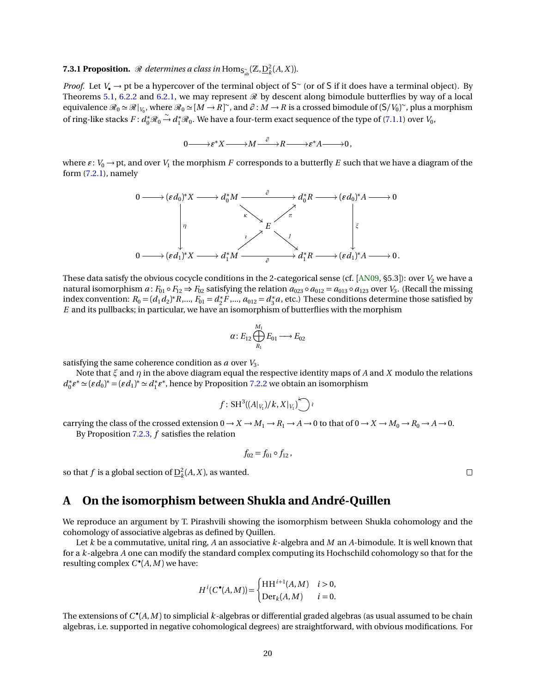# <span id="page-19-1"></span><span id="page-19-0"></span>**7.3.1 Proposition.**  $\mathscr R$  determines a class in  $\text{Hom}_{\mathsf{S}_{ab}^{\sim}}(\mathbb Z,\underline{\mathrm{D}}_k^2(A,X)).$

*Proof.* Let  $V_{\bullet} \to$  pt be a hypercover of the terminal object of  $S^{\sim}$  (or of S if it does have a terminal object). By Theorems [5.1,](#page-13-0) [6.2.2](#page-16-1) and [6.2.1,](#page-16-0) we may represent  $\mathcal{R}$  by descent along bimodule butterflies by way of a local equivalence  $\mathscr{R}_0 \simeq \mathscr{R}|_{V_0}$ , where  $\mathscr{R}_0 \simeq [M \to R]^\sim$ , and  $\partial : M \to R$  is a crossed bimodule of  $(\mathsf{S}/V_0)^\sim$ , plus a morphism of ring-like stacks  $F: d_0^* \mathcal{R}_0 \stackrel{\sim}{\rightarrow} d_1^* \mathcal{R}_0$ . We have a four-term exact sequence of the type of [\(7.1.1\)](#page-17-2) over *V*<sub>0</sub>,

$$
0 \longrightarrow \varepsilon^* X \longrightarrow M \stackrel{\partial}{\longrightarrow} R \longrightarrow \varepsilon^* A \longrightarrow 0,
$$

where  $\varepsilon$  :  $V_0 \rightarrow$  pt, and over  $V_1$  the morphism  $F$  corresponds to a butterfly  $E$  such that we have a diagram of the form [\(7.2.1\)](#page-17-0), namely

$$
0 \longrightarrow (\varepsilon d_0)^* X \longrightarrow d_0^* M \xrightarrow{\partial} d_0^* R \longrightarrow (\varepsilon d_0)^* A \longrightarrow 0
$$
\n
$$
\downarrow \qquad \qquad \downarrow \qquad \qquad \downarrow
$$
\n
$$
0 \longrightarrow (\varepsilon d_1)^* X \longrightarrow d_1^* M \xrightarrow{\partial} d_1^* R \longrightarrow (\varepsilon d_1)^* A \longrightarrow 0.
$$

These data satisfy the obvious cocycle conditions in the 2-categorical sense (cf. [[AN09,](#page-20-1) \$5.3]): over *V*<sub>2</sub> we have a natural isomorphism  $a: F_{01} \circ F_{12} \Rightarrow F_{02}$  satisfying the relation  $a_{023} \circ a_{012} = a_{013} \circ a_{123}$  over  $V_3$ . (Recall the missing index convention:  $R_0 = (d_1 d_2)^* R, ..., F_{01} = d_2^*$  $a_2^* \tilde{F}$ ,...,  $a_{012} = d_3^*$  $^{\ast}_{3}$ *a*, etc.) These conditions determine those satisfied by *E* and its pullbacks; in particular, we have an isomorphism of butterflies with the morphism

$$
\alpha\colon E_{12} \bigoplus_{R_1}^{M_1} E_{01} \longrightarrow E_{02}
$$

satisfying the same coherence condition as *a* over *V*<sup>3</sup> .

Note that *ξ* and *η* in the above diagram equal the respective identity maps of *A* and *X* modulo the relations *d* ∗  $\chi_0^* \varepsilon^* \simeq (\varepsilon d_0)^* = (\varepsilon d_1)^* \simeq d_1^*$ <sub>1</sub><sup>\*</sup><sub>*t*</sub><sup>\*</sup>, hence by Proposition [7.2.2](#page-18-0) we obtain an isomorphism

$$
f\colon {\rm SH}^3((A|_{V_1})/k, X|_{V_1}) \bigcup \wr
$$

carrying the class of the crossed extension  $0 \to X \to M_1 \to R_1 \to A \to 0$  to that of  $0 \to X \to M_0 \to R_0 \to A \to 0$ . By Proposition [7.2.3,](#page-18-1) *f* satisfies the relation

$$
f_{02}=f_{01}\circ f_{12},
$$

so that  $f$  is a global section of  $D_k^2(A, X)$ , as wanted.

## **A On the isomorphism between Shukla and André-Quillen**

We reproduce an argument by T. Pirashvili showing the isomorphism between Shukla cohomology and the cohomology of associative algebras as defined by Quillen.

Let *k* be a commutative, unital ring, *A* an associative *k*-algebra and *M* an *A*-bimodule. It is well known that for a *k*-algebra *A* one can modify the standard complex computing its Hochschild cohomology so that for the resulting complex  $C^{\bullet}(A, M)$  we have:

$$
H^{i}(C^{\bullet}(A,M)) = \begin{cases} HH^{i+1}(A,M) & i > 0, \\ \text{Der}_k(A,M) & i = 0. \end{cases}
$$

The extensions of *C* • (*A*,*M* ) to simplicial *k*-algebras or differential graded algebras (as usual assumed to be chain algebras, i.e. supported in negative cohomological degrees) are straightforward, with obvious modifications. For

 $\Box$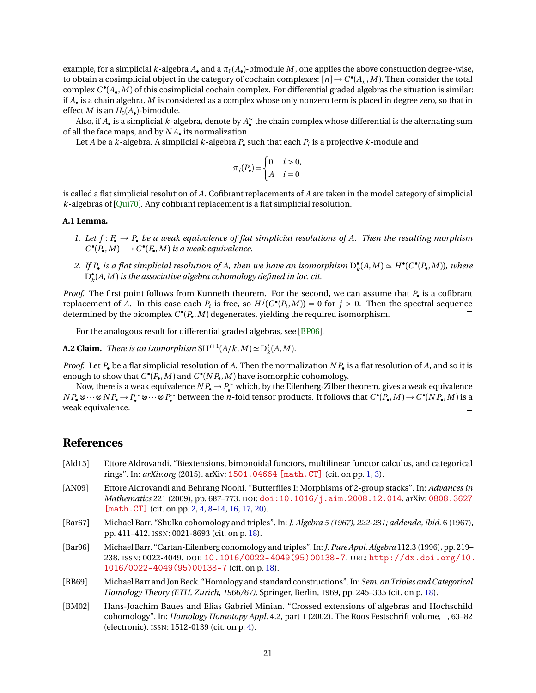<span id="page-20-6"></span>example, for a simplicial  $k$ -algebra  $A_\bullet$  and a  $\pi_0(A_\bullet)$ -bimodule  $M$ , one applies the above construction degree-wise, to obtain a cosimplicial object in the category of cochain complexes:  $[n] \to C^\bullet(A_n, M)$ . Then consider the total complex *C* • (*A*• ,*M* ) of this cosimplicial cochain complex. For differential graded algebras the situation is similar: if *A*• is a chain algebra, *M* is considered as a complex whose only nonzero term is placed in degree zero, so that in effect *M* is an  $H_0(A_\bullet)$ -bimodule.

Also, if  $A_{\bullet}$  is a simplicial  $k$ -algebra, denote by  $A_{\bullet}^{\sim}$  the chain complex whose differential is the alternating sum of all the face maps, and by *N A*• its normalization.

Let *A* be a *k*-algebra. A simplicial *k*-algebra *P*• such that each *P<sup>i</sup>* is a projective *k*-module and

$$
\pi_i(P_\bullet) = \begin{cases} 0 & i > 0, \\ A & i = 0 \end{cases}
$$

is called a flat simplicial resolution of *A*. Cofibrant replacements of *A* are taken in the model category of simplicial *k*-algebras of [[Qui70](#page-22-2)]. Any cofibrant replacement is a flat simplicial resolution.

#### **A.1 Lemma.**

- *1.* Let  $f: F_{\bullet} \to P_{\bullet}$  be a weak equivalence of flat simplicial resolutions of A. Then the resulting morphism  $C^{\bullet}(P_{\bullet}, M) \longrightarrow C^{\bullet}(F_{\bullet}, M)$  *is a weak equivalence.*
- 2. If  $P_{\bullet}$  is a flat simplicial resolution of A, then we have an isomorphism  $D_{\iota}^{\bullet}$  $k(A, M) \simeq H^{\bullet}(C^{\bullet}(P_{\bullet}, M))$ *, where*  $\check{\text{D}}_k^{\bullet}$ *k* (*A*,*M* ) *is the associative algebra cohomology defined in loc. cit.*

*Proof.* The first point follows from Kunneth theorem. For the second, we can assume that *P*• is a cofibrant replacement of *A*. In this case each  $P_i$  is free, so  $H^j(C^{\bullet}(P_i,M)) = 0$  for  $j > 0$ . Then the spectral sequence determined by the bicomplex *C* • (*P*• ,*M* ) degenerates, yielding the required isomorphism.  $\Box$ 

For the analogous result for differential graded algebras, see [[BP06](#page-21-4)].

**A.2 Claim.** There is an isomorphism  $SH^{i+1}(A/k, M) \simeq D_k^i(A, M)$ .

*Proof.* Let *P*• be a flat simplicial resolution of *A*. Then the normalization *N P*• is a flat resolution of *A*, and so it is enough to show that  $C^{\bullet}(P_{\bullet}, M)$  and  $C^{\bullet}(NP_{\bullet}, M)$  have isomorphic cohomology.

Now, there is a weak equivalence  $NP_{\bullet} \to P_{\bullet}^{\sim}$  which, by the Eilenberg-Zilber theorem, gives a weak equivalence  $NP_{\bullet} \otimes \cdots \otimes NP_{\bullet} \to P_{\bullet}^{\sim} \otimes \cdots \otimes P_{\bullet}^{\sim}$  between the *n*-fold tensor products. It follows that  $C^{\bullet}(P_{\bullet}, M) \to C^{\bullet}(NP_{\bullet}, M)$  is a weak equivalence.  $\Box$ 

# **References**

- <span id="page-20-0"></span>[Ald15] Ettore Aldrovandi. "Biextensions, bimonoidal functors, multilinear functor calculus, and categorical rings". In: *arXiv.org* (2015). arXiv: [1501.04664 \[math.CT\]](http://arxiv.org/abs/1501.04664) (cit. on pp. [1,](#page-0-0) [3\)](#page-2-1).
- <span id="page-20-1"></span>[AN09] Ettore Aldrovandi and Behrang Noohi. "Butterflies I: Morphisms of 2-group stacks". In: *Advances in Mathematics* 221 (2009), pp. 687–773. DOI: [doi:10.1016/j.aim.2008.12.014](http://dx.doi.org/doi:10.1016/j.aim.2008.12.014). arXiv: [0808.3627](http://arxiv.org/abs/0808.3627) [\[math.CT\]](http://arxiv.org/abs/0808.3627) (cit. on pp. [2,](#page-1-0) [4,](#page-3-2) [8–](#page-7-3)[14,](#page-13-1) [16,](#page-15-4) [17,](#page-16-3) [20\)](#page-19-1).
- <span id="page-20-3"></span>[Bar67] Michael Barr. "Shulka cohomology and triples". In: *J. Algebra 5 (1967), 222-231; addenda, ibid.* 6 (1967), pp. 411–412. ISSN: 0021-8693 (cit. on p. [18\)](#page-17-3).
- <span id="page-20-4"></span>[Bar96] Michael Barr. "Cartan-Eilenberg cohomology and triples". In:*J. Pure Appl. Algebra* 112.3 (1996), pp. 219– 238. ISSN: 0022-4049. DOI: [10.1016/0022-4049\(95\)00138-7](http://dx.doi.org/10.1016/0022-4049(95)00138-7). URL: [http://dx.doi.org/10.](http://dx.doi.org/10.1016/0022-4049(95)00138-7) [1016/0022-4049\(95\)00138-7](http://dx.doi.org/10.1016/0022-4049(95)00138-7) (cit. on p. [18\)](#page-17-3).
- <span id="page-20-5"></span>[BB69] Michael Barr and Jon Beck. "Homology and standard constructions". In: *Sem. on Triples and Categorical Homology Theory (ETH, Zürich, 1966/67)*. Springer, Berlin, 1969, pp. 245–335 (cit. on p. [18\)](#page-17-3).
- <span id="page-20-2"></span>[BM02] Hans-Joachim Baues and Elias Gabriel Minian. "Crossed extensions of algebras and Hochschild cohomology". In: *Homology Homotopy Appl.* 4.2, part 1 (2002). The Roos Festschrift volume, 1, 63–82 (electronic). ISSN: 1512-0139 (cit. on p. [4\)](#page-3-2).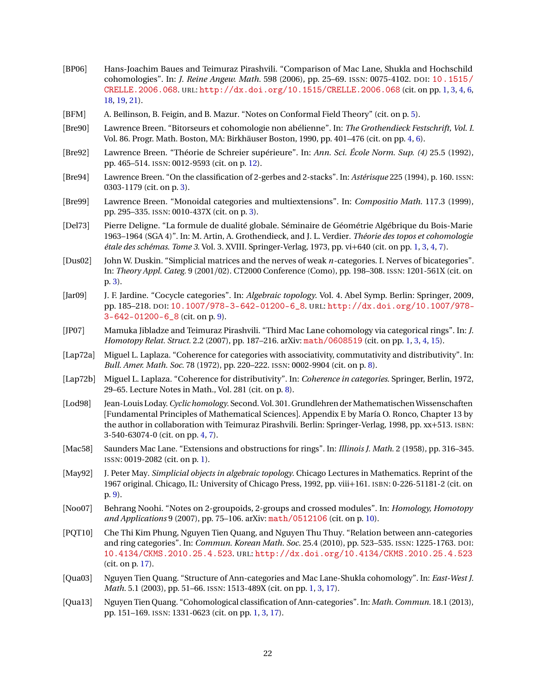- <span id="page-21-4"></span>[BP06] Hans-Joachim Baues and Teimuraz Pirashvili. "Comparison of Mac Lane, Shukla and Hochschild cohomologies". In: *J. Reine Angew. Math.* 598 (2006), pp. 25–69. ISSN: 0075-4102. DOI: [10.1515/](http://dx.doi.org/10.1515/CRELLE.2006.068)  $CRELLE.2006.068. \text{URL: http://dx.doi.org/10.1515/CRELLE.2006.068 (cit. on pp. 1, 3, 4, 6, ...)$  $CRELLE.2006.068. \text{URL: http://dx.doi.org/10.1515/CRELLE.2006.068 (cit. on pp. 1, 3, 4, 6, ...)$  $CRELLE.2006.068. \text{URL: http://dx.doi.org/10.1515/CRELLE.2006.068 (cit. on pp. 1, 3, 4, 6, ...)$  $CRELLE.2006.068. \text{URL: http://dx.doi.org/10.1515/CRELLE.2006.068 (cit. on pp. 1, 3, 4, 6, ...)$  $CRELLE.2006.068. \text{URL: http://dx.doi.org/10.1515/CRELLE.2006.068 (cit. on pp. 1, 3, 4, 6, ...)$  $CRELLE.2006.068. \text{URL: http://dx.doi.org/10.1515/CRELLE.2006.068 (cit. on pp. 1, 3, 4, 6, ...)$  $CRELLE.2006.068. \text{URL: http://dx.doi.org/10.1515/CRELLE.2006.068 (cit. on pp. 1, 3, 4, 6, ...)$  $CRELLE.2006.068. \text{URL: http://dx.doi.org/10.1515/CRELLE.2006.068 (cit. on pp. 1, 3, 4, 6, ...)$  $CRELLE.2006.068. \text{URL: http://dx.doi.org/10.1515/CRELLE.2006.068 (cit. on pp. 1, 3, 4, 6, ...)$  $CRELLE.2006.068. \text{URL: http://dx.doi.org/10.1515/CRELLE.2006.068 (cit. on pp. 1, 3, 4, 6, ...)$  $CRELLE.2006.068. \text{URL: http://dx.doi.org/10.1515/CRELLE.2006.068 (cit. on pp. 1, 3, 4, 6, ...)$  $CRELLE.2006.068. \text{URL: http://dx.doi.org/10.1515/CRELLE.2006.068 (cit. on pp. 1, 3, 4, 6, ...)$ [18,](#page-17-3) [19,](#page-18-2) [21\)](#page-20-6).
- <span id="page-21-11"></span>[BFM] A. Beĭlinson, B. Feigin, and B. Mazur. "Notes on Conformal Field Theory" (cit. on p. [5\)](#page-4-3).
- <span id="page-21-9"></span>[Bre90] Lawrence Breen. "Bitorseurs et cohomologie non abélienne". In: *The Grothendieck Festschrift, Vol. I*. Vol. 86. Progr. Math. Boston, MA: Birkhäuser Boston, 1990, pp. 401–476 (cit. on pp. [4,](#page-3-2) [6\)](#page-5-4).
- <span id="page-21-17"></span>[Bre92] Lawrence Breen. "Théorie de Schreier supérieure". In: *Ann. Sci. École Norm. Sup. (4)* 25.5 (1992), pp. 465–514. ISSN: 0012-9593 (cit. on p. [12\)](#page-11-0).
- <span id="page-21-6"></span>[Bre94] Lawrence Breen. "On the classification of 2-gerbes and 2-stacks". In: *Astérisque* 225 (1994), p. 160. ISSN: 0303-1179 (cit. on p. [3\)](#page-2-1).
- <span id="page-21-7"></span>[Bre99] Lawrence Breen. "Monoidal categories and multiextensions". In: *Compositio Math.* 117.3 (1999), pp. 295–335. ISSN: 0010-437X (cit. on p. [3\)](#page-2-1).
- <span id="page-21-5"></span>[Del73] Pierre Deligne. "La formule de dualité globale. Séminaire de Géométrie Algébrique du Bois-Marie 1963–1964 (SGA 4)". In: M. Artin, A. Grothendieck, and J. L. Verdier. *Théorie des topos et cohomologie étale des schémas. Tome 3*. Vol. 3. XVIII. Springer-Verlag, 1973, pp. vi+640 (cit. on pp. [1,](#page-0-0) [3,](#page-2-1) [4,](#page-3-2) [7\)](#page-6-2).
- <span id="page-21-8"></span>[Dus02] John W. Duskin. "Simplicial matrices and the nerves of weak *n*-categories. I. Nerves of bicategories". In: *Theory Appl. Categ.* 9 (2001/02). CT2000 Conference (Como), pp. 198–308. ISSN: 1201-561X (cit. on p. [3\)](#page-2-1).
- <span id="page-21-14"></span>[Jar09] J. F. Jardine. "Cocycle categories". In: *Algebraic topology*. Vol. 4. Abel Symp. Berlin: Springer, 2009, pp. 185–218. DOI: [10.1007/978-3-642-01200-6\\_8](http://dx.doi.org/10.1007/978-3-642-01200-6_8). URL: [http://dx.doi.org/10.1007/978-](http://dx.doi.org/10.1007/978-3-642-01200-6_8) [3-642-01200-6\\_8](http://dx.doi.org/10.1007/978-3-642-01200-6_8) (cit. on p. [9\)](#page-8-0).
- <span id="page-21-0"></span>[JP07] Mamuka Jibladze and Teimuraz Pirashvili. "Third Mac Lane cohomology via categorical rings". In: *J. Homotopy Relat. Struct.* 2.2 (2007), pp. 187–216. arXiv: [math/0608519](http://arxiv.org/abs/math/0608519) (cit. on pp. [1,](#page-0-0) [3,](#page-2-1) [4,](#page-3-2) [15\)](#page-14-1).
- <span id="page-21-12"></span>[Lap72a] Miguel L. Laplaza. "Coherence for categories with associativity, commutativity and distributivity". In: *Bull. Amer. Math. Soc.* 78 (1972), pp. 220–222. ISSN: 0002-9904 (cit. on p. [8\)](#page-7-3).
- <span id="page-21-13"></span>[Lap72b] Miguel L. Laplaza. "Coherence for distributivity". In: *Coherence in categories*. Springer, Berlin, 1972, 29–65. Lecture Notes in Math., Vol. 281 (cit. on p. [8\)](#page-7-3).
- <span id="page-21-10"></span>[Lod98] Jean-Louis Loday. Cyclic homology. Second. Vol. 301. Grundlehren der Mathematischen Wissenschaften [Fundamental Principles of Mathematical Sciences]. Appendix E by María O. Ronco, Chapter 13 by the author in collaboration with Teimuraz Pirashvili. Berlin: Springer-Verlag, 1998, pp. xx+513. ISBN: 3-540-63074-0 (cit. on pp. [4,](#page-3-2) [7\)](#page-6-2).
- <span id="page-21-3"></span>[Mac58] Saunders Mac Lane. "Extensions and obstructions for rings". In: *Illinois J. Math.* 2 (1958), pp. 316–345. ISSN: 0019-2082 (cit. on p. [1\)](#page-0-0).
- <span id="page-21-15"></span>[May92] J. Peter May. *Simplicial objects in algebraic topology*. Chicago Lectures in Mathematics. Reprint of the 1967 original. Chicago, IL: University of Chicago Press, 1992, pp. viii+161. ISBN: 0-226-51181-2 (cit. on p. [9\)](#page-8-0).
- <span id="page-21-16"></span>[Noo07] Behrang Noohi. "Notes on 2-groupoids, 2-groups and crossed modules". In: *Homology, Homotopy and Applications* 9 (2007), pp. 75–106. arXiv: [math/0512106](http://arxiv.org/abs/math/0512106) (cit. on p. [10\)](#page-9-5).
- <span id="page-21-18"></span>[PQT10] Che Thi Kim Phung, Nguyen Tien Quang, and Nguyen Thu Thuy. "Relation between ann-categories and ring categories". In: *Commun. Korean Math. Soc.* 25.4 (2010), pp. 523–535. ISSN: 1225-1763. DOI: [10.4134/CKMS.2010.25.4.523](http://dx.doi.org/10.4134/CKMS.2010.25.4.523). URL: <http://dx.doi.org/10.4134/CKMS.2010.25.4.523> (cit. on p. [17\)](#page-16-3).
- <span id="page-21-2"></span>[Qua03] Nguyen Tien Quang. "Structure of Ann-categories and Mac Lane-Shukla cohomology". In: *East-West J. Math.* 5.1 (2003), pp. 51–66. ISSN: 1513-489X (cit. on pp. [1,](#page-0-0) [3,](#page-2-1) [17\)](#page-16-3).
- <span id="page-21-1"></span>[Qua13] Nguyen Tien Quang. "Cohomological classification of Ann-categories". In: *Math. Commun.* 18.1 (2013), pp. 151–169. ISSN: 1331-0623 (cit. on pp. [1,](#page-0-0) [3,](#page-2-1) [17\)](#page-16-3).